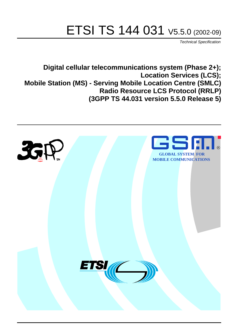# ETSI TS 144 031 V5.5.0 (2002-09)

Technical Specification

**Digital cellular telecommunications system (Phase 2+); Location Services (LCS); Mobile Station (MS) - Serving Mobile Location Centre (SMLC) Radio Resource LCS Protocol (RRLP) (3GPP TS 44.031 version 5.5.0 Release 5)**

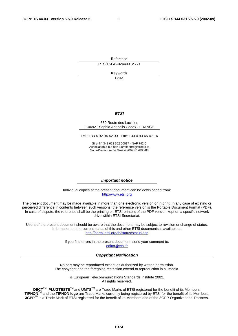Reference RTS/TSGG-0244031v550

> Keywords GSM

#### **ETSI**

#### 650 Route des Lucioles F-06921 Sophia Antipolis Cedex - FRANCE

Tel.: +33 4 92 94 42 00 Fax: +33 4 93 65 47 16

Siret N° 348 623 562 00017 - NAF 742 C Association à but non lucratif enregistrée à la Sous-Préfecture de Grasse (06) N° 7803/88

#### **Important notice**

Individual copies of the present document can be downloaded from: [http://www.etsi.org](http://www.etsi.org/)

The present document may be made available in more than one electronic version or in print. In any case of existing or perceived difference in contents between such versions, the reference version is the Portable Document Format (PDF). In case of dispute, the reference shall be the printing on ETSI printers of the PDF version kept on a specific network drive within ETSI Secretariat.

Users of the present document should be aware that the document may be subject to revision or change of status. Information on the current status of this and other ETSI documents is available at <http://portal.etsi.org/tb/status/status.asp>

> If you find errors in the present document, send your comment to: [editor@etsi.fr](mailto:editor@etsi.fr)

#### **Copyright Notification**

No part may be reproduced except as authorized by written permission. The copyright and the foregoing restriction extend to reproduction in all media.

> © European Telecommunications Standards Institute 2002. All rights reserved.

**DECT**TM, **PLUGTESTS**TM and **UMTS**TM are Trade Marks of ETSI registered for the benefit of its Members. **TIPHON**TM and the **TIPHON logo** are Trade Marks currently being registered by ETSI for the benefit of its Members. **3GPP**TM is a Trade Mark of ETSI registered for the benefit of its Members and of the 3GPP Organizational Partners.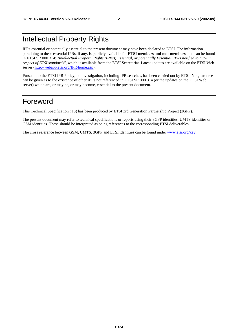## Intellectual Property Rights

IPRs essential or potentially essential to the present document may have been declared to ETSI. The information pertaining to these essential IPRs, if any, is publicly available for **ETSI members and non-members**, and can be found in ETSI SR 000 314: *"Intellectual Property Rights (IPRs); Essential, or potentially Essential, IPRs notified to ETSI in respect of ETSI standards"*, which is available from the ETSI Secretariat. Latest updates are available on the ETSI Web server ([http://webapp.etsi.org/IPR/home.asp\)](http://webapp.etsi.org/IPR/home.asp).

Pursuant to the ETSI IPR Policy, no investigation, including IPR searches, has been carried out by ETSI. No guarantee can be given as to the existence of other IPRs not referenced in ETSI SR 000 314 (or the updates on the ETSI Web server) which are, or may be, or may become, essential to the present document.

## Foreword

This Technical Specification (TS) has been produced by ETSI 3rd Generation Partnership Project (3GPP).

The present document may refer to technical specifications or reports using their 3GPP identities, UMTS identities or GSM identities. These should be interpreted as being references to the corresponding ETSI deliverables.

The cross reference between GSM, UMTS, 3GPP and ETSI identities can be found under [www.etsi.org/key](http://www.etsi.org/key) .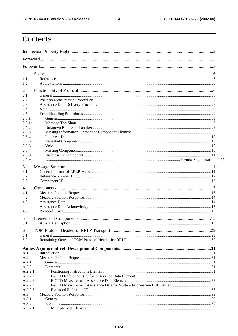$\mathbf{3}$ 

## Contents

| 1<br>1.1<br>1.2 |  |    |
|-----------------|--|----|
| $\overline{2}$  |  |    |
| 2.1             |  |    |
| 2.2             |  |    |
| 2.3             |  |    |
| 2.4             |  |    |
| 2.5             |  |    |
| 2.5.1           |  |    |
| 2.5.1a<br>2.5.2 |  |    |
| 2.5.3           |  |    |
| 2.5.4           |  |    |
| 2.5.5           |  |    |
| 2.5.6           |  |    |
| 2.5.7           |  |    |
| 2.5.8           |  |    |
| 2.5.9           |  | 11 |
| 3               |  |    |
| 3.1             |  |    |
| 3.2             |  |    |
| 3.3             |  |    |
|                 |  |    |
| 4               |  |    |
| 4.1             |  |    |
| 4.2             |  |    |
| 4.3             |  |    |
| 4.4<br>4.5      |  |    |
|                 |  |    |
| 5<br>5.1        |  |    |
|                 |  |    |
| 6<br>6.1        |  |    |
| 6.2             |  |    |
|                 |  |    |
|                 |  |    |
| A.1             |  |    |
| A.2             |  |    |
| A.2.1<br>A.2.2  |  |    |
| A.2.2.1         |  |    |
| A.2.2.2         |  |    |
| A.2.2.3         |  |    |
| A.2.2.4         |  |    |
| A.2.2.5         |  |    |
| A.3             |  |    |
| A.3.1           |  |    |
| A.3.2           |  |    |
| A.3.2.1         |  |    |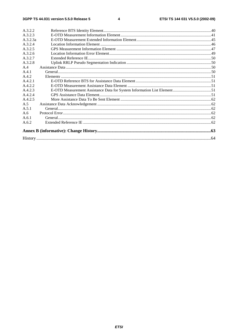#### $\overline{\mathbf{4}}$

| A 3 2 2  |  |
|----------|--|
| A 3 2 3  |  |
| A.3.2.3a |  |
| A.3.2.4  |  |
| A.3.2.5  |  |
| A.3.2.6  |  |
| A.3.2.7  |  |
| A.3.2.8  |  |
| A.4      |  |
| A.4.1    |  |
| A.4.2    |  |
| A.4.2.1  |  |
| A.4.2.2  |  |
| A.4.2.3  |  |
| A.4.2.4  |  |
| A.4.2.5  |  |
| A.5      |  |
| A.5.1    |  |
| A.6      |  |
| A.6.1    |  |
| A.6.2    |  |
|          |  |
|          |  |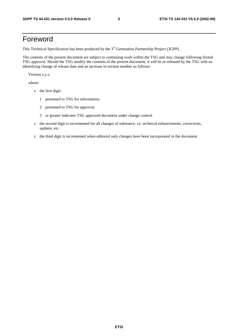## Foreword

This Technical Specification has been produced by the 3<sup>rd</sup> Generation Partnership Project (3GPP).

The contents of the present document are subject to continuing work within the TSG and may change following formal TSG approval. Should the TSG modify the contents of the present document, it will be re-released by the TSG with an identifying change of release date and an increase in version number as follows:

Version x.y.z

where:

- x the first digit:
	- 1 presented to TSG for information;
	- 2 presented to TSG for approval;
	- 3 or greater indicates TSG approved document under change control.
- y the second digit is incremented for all changes of substance, i.e. technical enhancements, corrections, updates, etc.
- z the third digit is incremented when editorial only changes have been incorporated in the document.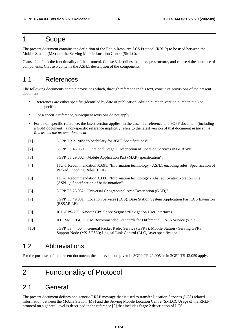## 1 Scope

The present document contains the definition of the Radio Resource LCS Protocol (RRLP) to be used between the Mobile Station (MS) and the Serving Mobile Location Centre (SMLC).

Clause 2 defines the functionality of the protocol. Clause 3 describes the message structure, and clause 4 the structure of components. Clause 5 contains the ASN.1 description of the components.

## 1.1 References

The following documents contain provisions which, through reference in this text, constitute provisions of the present document.

- References are either specific (identified by date of publication, edition number, version number, etc.) or non-specific.
- For a specific reference, subsequent revisions do not apply.
- For a non-specific reference, the latest version applies. In the case of a reference to a 3GPP document (including a GSM document), a non-specific reference implicitly refers to the latest version of that document *in the same Release as the present document*.
- [1] 3GPP TR 21.905: "Vocabulary for 3GPP Specifications".
- [2] 3GPP TS 43.059: "Functional Stage 2 Description of Location Services in GERAN".
- [3] 3GPP TS 29.002: "Mobile Application Part (MAP) specification".
- [4] ITU-T Recommendation X.691: "Information technology ASN.1 encoding rules: Specification of Packed Encoding Rules (PER)".
- [5] ITU-T Recommendation X.680: "Information technology Abstract Syntax Notation One (ASN.1): Specification of basic notation".
- [6] 3GPP TS 23.032: "Universal Geographical Area Description (GAD)".
- [7] 3GPP TS 49.031: "Location Services (LCS); Base Station System Application Part LCS Extension (BSSAP-LE)".
- [8] ICD-GPS-200, Navstar GPS Space Segment/Navigation User Interfaces.
- [9] RTCM-SC104, RTCM Recommended Standards for Differential GNSS Service (v.2.2).
- [10] 3GPP TS 44.064: "General Packet Radio Service (GPRS); Mobile Station Serving GPRS Support Node (MS-SGSN); Logical Link Control (LLC) layer specification".

## 1.2 Abbreviations

For the purposes of the present document, the abbreviations given in 3GPP TR 21.905 or in 3GPP TS 43.059 apply.

## 2 Functionality of Protocol

## 2.1 General

The present document defines one generic RRLP message that is used to transfer Location Services (LCS) related information between the Mobile Station (MS) and the Serving Mobile Location Centre (SMLC). Usage of the RRLP protocol on a general level is described in the reference [2] that includes Stage 2 description of LCS.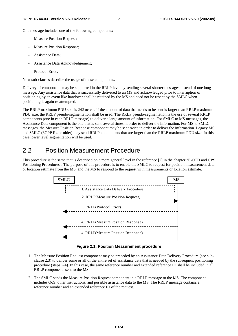One message includes one of the following components:

- Measure Position Request;
- Measure Position Response;
- Assistance Data:
- Assistance Data Acknowledgement;
- Protocol Error.

Next sub-clauses describe the usage of these components.

Delivery of components may be supported in the RRLP level by sending several shorter messages instead of one long message. Any assistance data that is successfully delivered to an MS and acknowledged prior to interruption of positioning by an event like handover shall be retained by the MS and need not be resent by the SMLC when positioning is again re-attempted.

The RRLP maximum PDU size is 242 octets. If the amount of data that needs to be sent is larger than RRLP maximum PDU size, the RRLP pseudo-segmentation shall be used. The RRLP pseudo-segmentation is the use of several RRLP components (one in each RRLP message) to deliver a large amount of information. For SMLC to MS messages, the Assistance Data component is the one that is sent several times in order to deliver the information. For MS to SMLC messages, the Measure Position Response component may be sent twice in order to deliver the information. Legacy MS and SMLC (3GPP R4 or older) may send RRLP components that are larger than the RRLP maximum PDU size. In this case lower level segmentation will be used.

## 2.2 Position Measurement Procedure

This procedure is the same that is described on a more general level in the reference [2] in the chapter "E-OTD and GPS Positioning Procedures". The purpose of this procedure is to enable the SMLC to request for position measurement data or location estimate from the MS, and the MS to respond to the request with measurements or location estimate.



**Figure 2.1: Position Measurement procedure** 

- 1. The Measure Position Request component may be preceded by an Assistance Data Delivery Procedure (see subclause 2.3) to deliver some or all of the entire set of assistance data that is needed by the subsequent positioning procedure (steps 2-4). In this case, the same reference number and extended reference ID shall be included in all RRLP components sent to the MS.
- 2. The SMLC sends the Measure Position Request component in a RRLP message to the MS. The component includes QoS, other instructions, and possible assistance data to the MS. The RRLP message contains a reference number and an extended reference ID of the request.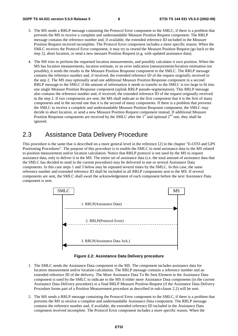- 3. The MS sends a RRLP message containing the Protocol Error component to the SMLC, if there is a problem that prevents the MS to receive a complete and understandable Measure Position Request component. The RRLP message contains the reference number and, if available, the extended reference ID included in the Measure Position Request received incomplete. The Protocol Error component includes a more specific reason. When the SMLC receives the Protocol Error component, it may try to resend the Measure Position Request (go back to the step 2), abort location, or send a new measure Position Request (e.g. with updated assistance data).
- 4. The MS tries to perform the requested location measurements, and possibly calculates it own position. When the MS has location measurements, location estimate, or an error indication (measurements/location estimation not possible), it sends the results in the Measure Position Response component to the SMLC. The RRLP message contains the reference number and, if received, the extended reference ID of the request originally received in the step 2. The MS may optionally send one additional Measure Position Response component in a second RRLP message to the SMLC if the amount of information it needs to transfer to the SMLC is too large to fit into one single Measure Position Response component (uplink RRLP pseudo-segmentation). This RRLP message also contains the reference number and, if received, the extended reference ID of the request originally received in the step 2. If two components are sent, the MS shall indicate in the first component that it is the first of many components and in the second one that it is the second of many components. If there is a problem that prevents the SMLC to receive a complete and understandable Measure Position Response component, the SMLC may decide to abort location, or send a new Measure Position Request component instead. If additional Measure Position Response components are received by the SMLC after the  $1<sup>st</sup>$  and optional  $2<sup>nd</sup>$  one, they shall be ignored.

## 2.3 Assistance Data Delivery Procedure

This procedure is the same that is described on a more general level in the reference [2] in the chapter "E-OTD and GPS Positioning Procedures". The purpose of this procedure is to enable the SMLC to send assistance data to the MS related to position measurement and/or location calculation. Notice that RRLP protocol is not used by the MS to request assistance data, only to deliver it to the MS. The entire set of assistance data (i.e. the total amount of assistance data that the SMLC has decided to send in the current procedure) may be delivered in one or several Assistance Data components. In this case steps 1 and 3 below may be repeated several times by the SMLC. In this case, the same reference number and extended reference ID shall be included in all RRLP components sent to the MS. If several components are sent, the SMLC shall await the acknowledgement of each component before the next Assistance Data component is sent.



**Figure 2.2: Assistance Data Delivery procedure** 

- 1. The SMLC sends the Assistance Data component to the MS. The component includes assistance data for location measurement and/or location calculation. The RRLP message contains a reference number and an extended reference ID of the delivery. The More Assistance Data To Be Sent Element in the Assistance Data component is used by the SMLC to indicate to the MS if either more Assistance Data components (in the current Assistance Data Delivery procedure) or a final RRLP Measure Position Request (if the Assistance Data Delivery Procedure forms part of a Position Measurement procedure as described in sub-clause 2.2) will be sent.
- 2. The MS sends a RRLP message containing the Protocol Error component to the SMLC, if there is a problem that prevents the MS to receive a complete and understandable Assistance Data component. The RRLP message contains the reference number and, if available, the extended reference ID included in the Assistance Data component received incomplete. The Protocol Error component includes a more specific reason. When the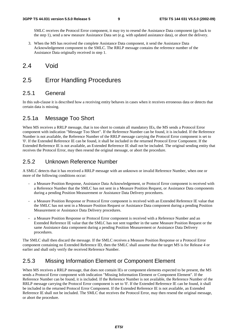SMLC receives the Protocol Error component, it may try to resend the Assistance Data component (go back to the step 1), send a new measure Assistance Data set (e.g. with updated assistance data), or abort the delivery.

3. When the MS has received the complete Assistance Data component, it send the Assistance Data Acknowledgement component to the SMLC. The RRLP message contains the reference number of the Assistance Data originally received in step 1.

## 2.4 Void

## 2.5 Error Handling Procedures

## 2.5.1 General

In this sub-clause it is described how a receiving entity behaves in cases when it receives erroneous data or detects that certain data is missing.

## 2.5.1a Message Too Short

When MS receives a RRLP message, that is too short to contain all mandatory IEs, the MS sends a Protocol Error component with indication "Message Too Short". If the Reference Number can be found, it is included. If the Reference Number is not available, the Reference Number of the RRLP message carrying the Protocol Error component is set to '0'. If the Extended Reference IE can be found, it shall be included in the returned Protocol Error Component. If the Extended Reference IE is not available, an Extended Reference IE shall not be included. The original sending entity that receives the Protocol Error, may then resend the original message, or abort the procedure.

## 2.5.2 Unknown Reference Number

A SMLC detects that it has received a RRLP message with an unknown or invalid Reference Number, when one or more of the following conditions occur:

- a Measure Position Response, Assistance Data Acknowledgement, or Protocol Error component is received with a Reference Number that the SMLC has not sent in a Measure Position Request, or Assistance Data components during a pending Position Measurement or Assistance Data Delivery procedures.
- a Measure Position Response or Protocol Error component is received with an Extended Reference IE value that the SMLC has not sent in a Measure Position Request or Assistance Data component during a pending Position Measurement or Assistance Data Delivery procedures.
- a Measure Position Response or Protocol Error component is received with a Reference Number and an Extended Reference IE value that the SMLC has not sent together in the same Measure Position Request or the same Assistance data component during a pending Position Measurement or Assistance Data Delivery procedures.

The SMLC shall then discard the message. If the SMLC receives a Measure Position Response or a Protocol Error component containing no Extended Reference ID, then the SMLC shall assume that the target MS is for Release 4 or earlier and shall only verify the received Reference Number.

## 2.5.3 Missing Information Element or Component Element

When MS receives a RRLP message, that does not contain IEs or component elements expected to be present, the MS sends a Protocol Error component with indication "Missing Information Element or Component Element". If the Reference Number can be found, it is included. If the Reference Number is not available, the Reference Number of the RRLP message carrying the Protocol Error component is set to '0'. If the Extended Reference IE can be found, it shall be included in the returned Protocol Error Component. If the Extended Reference IE is not available, an Extended Reference IE shall not be included. The SMLC that receives the Protocol Error, may then resend the original message, or abort the procedure.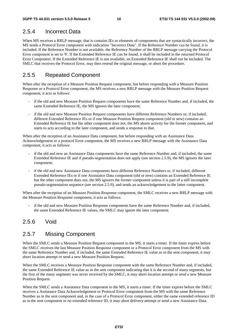## 2.5.4 Incorrect Data

When MS receives a RRLP message, that is contains IEs or elements of components that are syntactically incorrect, the MS sends a Protocol Error component with indication "Incorrect Data". If the Reference Number can be found, it is included. If the Reference Number is not available, the Reference Number of the RRLP message carrying the Protocol Error component is set to '0'. If the Extended Reference IE can be found, it shall be included in the returned Protocol Error Component. If the Extended Reference IE is not available, an Extended Reference IE shall not be included. The SMLC that receives the Protocol Error, may then resend the original message, or abort the procedure.

## 2.5.5 Repeated Component

When after the reception of a Measure Position Request component, but before responding with a Measure Position Response or a Protocol Error component, the MS receives a new RRLP message with the Measure Position Request component, it acts as follows:

- if the old and new Measure Position Request components have the same Reference Number and, if included, the same Extended Reference IE, the MS ignores the later component;
- if the old and new Measure Position Request components have different Reference Numbers or, if included, different Extended Reference IEs or if one Measure Position Request component (old or new) contains an Extended Reference IE but the other component does not, the MS aborts activity for the former component, and starts to acts according to the later component, and sends a response to that.

When after the reception of an Assistance Data component, but before responding with an Assistance Data Acknowledgement or a protocol Error component, the MS receives a new RRLP message with the Assistance Data component, it acts as follows:

- if the old and new an Assistance Data components have the same Reference Number and, if included, the same Extended Reference IE and if pseudo-segmentation does not apply (see section 2.5.9), the MS ignores the later component;
- if the old and new Assistance Data components have different Reference Numbers or, if included, different Extended Reference IEs or if one Assistance Data component (old or new) contains an Extended Reference IE but the other component does not, the MS ignores the former component unless it is part of a still incomplete pseudo-segmentation sequence (see section 2.5.9), and sends an acknowledgement to the latter component.

When after the reception of an Measure Position Response component, the SMLC receives a new RRLP message with the Measure Position Response component, it acts as follows:

if the old and new Measure Position Response components have the same Reference Number and, if included, the same Extended Reference IE values, the SMLC may ignore the later component;

## 2.5.6 Void

### 2.5.7 Missing Component

When the SMLC sends a Measure Position Request component to the MS, it starts a timer. If the timer expires before the SMLC receives the last Measure Position Response component or a Protocol Error component from the MS with the same Reference Number and, if included, the same Extended Reference IE value as in the sent component, it may abort location attempt or send a new Measure Position Request.

When the SMLC receives a Measure Position Response component with the same Reference Number and, if included, the same Extended Reference IE value as in the sent component indicating that it is the second of many segments, but the first of the many segments was never received by the SMLC, it may abort location attempt or send a new Measure Position Request.

When the SMLC sends a Assistance Data component to the MS, it starts a timer. If the timer expires before the SMLC receives a Assistance Data Acknowledgement or Protocol Error component from the MS with the same Reference Number as in the sent component and, in the case of a Protocol Error component, either the same extended reference ID as in the sent component or no extended reference ID, it may abort delivery attempt or send a new Assistance Data.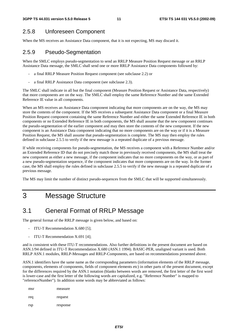## 2.5.8 Unforeseen Component

When the MS receives an Assistance Data component, that it is not expecting, MS may discard it.

## 2.5.9 Pseudo-Segmentation

When the SMLC employs pseudo-segmentation to send an RRLP Measure Position Request message or an RRLP Assistance Data message, the SMLC shall send one or more RRLP Assistance Data components followed by:

- a final RRLP Measure Position Request component (see subclause 2.2) or
- a final RRLP Assistance Data component (see subclause 2.3).

The SMLC shall indicate in all but the final component (Measure Position Request or Assistance Data, respectively) that more components are on the way. The SMLC shall employ the same Reference Number and the same Extended Reference IE value in all components.

When an MS receives an Assistance Data component indicating that more components are on the way, the MS may store the contents of the component. If the MS receives a subsequent Assistance Data component or a final Measure Position Request component containing the same Reference Number and either the same Extended Reference IE in both components or no Extended Reference IE in both components, the MS shall assume that the new component continues the pseudo-segmentation of the earlier component and may then store the contents of the new component. If the new component is an Assistance Data component indicating that no more components are on the way or if it is a Measure Position Request, the MS shall assume that pseudo-segmentation is complete. The MS may then employ the rules defined in subclause 2.5.5 to verify if the new message is a repeated duplicate of a previous message.

If while receiving components for pseudo-segmentation, the MS receives a component with a Reference Number and/or an Extended Reference ID that do not precisely match those in previously received components, the MS shall treat the new component as either a new message, if the component indicates that no more components on the way, or as part of a new pseudo-segmentation sequence, if the component indicates that more components are on the way. In the former case, the MS shall employ the rules defined in subclause 2.5.5 to verify if the new message is a repeated duplicate of a previous message.

The MS may limit the number of distinct pseudo-sequences from the SMLC that will be supported simultaneously.

## 3 Message Structure

## 3.1 General Format of RRLP Message

The general format of the RRLP message is given below, and based on:

- ITU-T Recommendation X.680 [5];
- ITU-T Recommendation X.691 [4];

and is consistent with these ITU-T recommendations. Also further definitions in the present document are based on ASN.1/94 defined in ITU-T Recommendation X.680 (ASN.1 1994). BASIC-PER, unaligned variant is used. Both RRLP ASN.1 modules, RRLP-Messages and RRLP-Components, are based on recommendations presented above.

ASN.1 identifiers have the same name as the corresponding parameters (information elements of the RRLP message, components, elements of components, fields of component elements etc) in other parts of the present document, except for the differences required by the ASN.1 notation (blanks between words are removed, the first letter of the first word is lower-case and the first letter of the following words are capitalized, e.g. "Reference Number" is mapped to "referenceNumber"). In addition some words may be abbreviated as follows:

| msr | measure  |
|-----|----------|
| req | request  |
| rsp | response |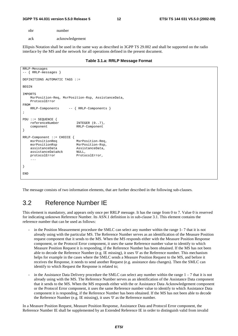nbr number

ack acknowledgement

Ellipsis Notation shall be used in the same way as described in 3GPP TS 29.002 and shall be supported on the radio interface by the MS and the network for all operations defined in the present document.

| Table 3.1.a: RRLP Message Format |  |  |  |
|----------------------------------|--|--|--|
|----------------------------------|--|--|--|

```
RRLP-Messages 
-- { RRLP-messages } 
DEFINITIONS AUTOMATIC TAGS ::= 
BEGIN 
IMPORTS 
    MsrPosition-Req, MsrPosition-Rsp, AssistanceData, 
    ProtocolError 
FROM 
   RRLP-Components -- { RRLP-Components }
; 
PDU ::= SEQUENCE { 
    referenceNumber INTEGER (0..7), 
    component RRLP-Component 
} 
RRLP-Component ::= CHOICE { 
   msrPositionReq msrPositionRsp MsrPosition-Rsp, 
    assistanceData AssistanceData, 
    assistanceDataAck NULL, 
   protocolError ProtocolError,
     ... 
} 
END
```
The message consists of two information elements, that are further described in the following sub-clauses.

## 3.2 Reference Number IE

This element is mandatory, and appears only once per RRLP message. It has the range from 0 to 7. Value 0 is reserved for indicating unknown Reference Number. Its ASN.1 definition is in sub-clause 3.1. This element contains the reference number that can be used as follows:

- in the Position Measurement procedure the SMLC can select any number within the range 1-7 that it is not already using with the particular MS. The Reference Number serves as an identification of the Measure Position request component that it sends to the MS. When the MS responds either with the Measure Position Response component, or the Protocol Error component, it uses the same Reference number value to identify to which Measure Position Request it is responding, if the Reference Number has been obtained. If the MS has not been able to decode the Reference Number (e.g. IE missing), it uses '0' as the Reference number. This mechanism helps for example in the cases where the SMLC sends a Measure Position Request to the MS, and before it receives the Response, it needs to send another Request (e.g. assistance data changes). Then the SMLC can identify to which Request the Response is related to;
- in the Assistance Data Delivery procedure the SMLC can select any number within the range  $1 7$  that it is not already using with the MS. The Reference Number serves as an identification of the Assistance Data component that it sends to the MS. When the MS responds either with the or Assistance Data Acknowledgement component or the Protocol Error component, it uses the same Reference number value to identify to which Assistance Data component it is responding, if the Reference Number has been obtained. If the MS has not been able to decode the Reference Number (e.g. IE missing), it uses '0' as the Reference number.

In a Measure Position Request, Measure Position Response, Assistance Data and Protocol Error component, the Reference Number IE shall be supplemented by an Extended Reference IE in order to distinguish valid from invalid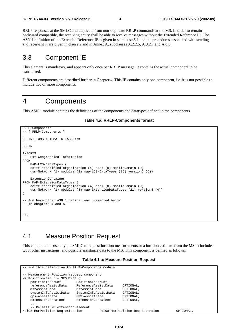RRLP responses at the SMLC and duplicate from non-duplicate RRLP commands at the MS. In order to remain backward compatible, the receiving entity shall be able to receive messages without the Extended Reference IE. The ASN.1 definition of the Extended Reference IE is given in subclause 5.1 and the procedures associated with sending and receiving it are given in clause 2 and in Annex A, subclauses A.2.2.5, A.3.2.7 and A.6.6.

## 3.3 Component IE

This element is mandatory, and appears only once per RRLP message. It contains the actual component to be transferred.

Different components are described further in Chapter 4. This IE contains only one component, i.e. it is not possible to include two or more components.

## 4 Components

This ASN.1 module contains the definitions of the components and datatypes defined in the components.

#### **Table 4.a: RRLP-Components format**

```
RRLP-Components 
-- { RRLP-Components } 
DEFINITIONS AUTOMATIC TAGS ::= 
BEGIN 
IMPORTS 
     Ext-GeographicalInformation 
FROM 
     MAP-LCS-DataTypes { 
     ccitt identified-organization (4) etsi (0) mobileDomain (0) 
     gsm-Network (1) modules (3) map-LCS-DataTypes (25) version5 (5)} 
     ExtensionContainer 
FROM MAP-ExtensionDataTypes { 
     ccitt identified-organization (4) etsi (0) mobileDomain (0) 
     gsm-Network (1) modules (3) map-ExtensionDataTypes (21) version4 (4)} 
; 
-- Add here other ASN.1 definitions presented below 
-- in chapters 4 and 5. 
END
```
## 4.1 Measure Position Request

This component is used by the SMLC to request location measurements or a location estimate from the MS. It includes QoS, other instructions, and possible assistance data to the MS. This component is defined as follows:

#### **Table 4.1.a: Measure Position Request**

```
-- add this definition to RRLP-Components module 
-- Measurement Position request component 
MsrPosition-Req ::= SEQUENCE { 
   positionInstruct PositionInstruct,<br>referenceAssistData ReferenceAssistDa
                             referenceAssistData ReferenceAssistData OPTIONAL, 
    msrAssistData MsrAssistData OPTIONAL, 
     systemInfoAssistData SystemInfoAssistData OPTIONAL, 
     gps-AssistData GPS-AssistData OPTIONAL, 
     extensionContainer ExtensionContainer OPTIONAL, 
     ..., 
     -- Release 98 extension element 
rel98-MsrPosition-Req-extension Rel98-MsrPosition-Req-Extension OPTIONAL,
```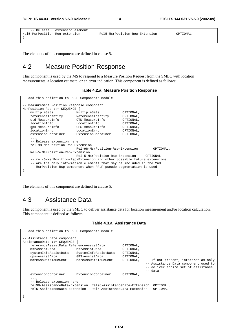```
-- Release 5 extension element<br>rel5-MsrPosition-Req-extension
                                                                  rel5-MsrPosition-Req-extension Rel5-MsrPosition-Req-Extension OPTIONAL 
}
```
The elements of this component are defined in clause 5.

## 4.2 Measure Position Response

This component is used by the MS to respond to a Measure Position Request from the SMLC with location measurements, a location estimate, or an error indication. This component is defined as follows:

#### **Table 4.2.a: Measure Position Response**

```
add this defintion to RRLP-Components module
 -- Measurement Position response component 
MsrPosition-Rsp ::= SEQUENCE { 
    multipleSets MultipleSets OPTIONAL,<br>referenceIdentity ReferenceIdentity OPTIONAL,
    referenceIdentity ReferenceIdentity OPTIONAL,<br>otd-MeasureInfo OTD-MeasureInfo OPTIONAL,
                            OTD-MeasureInfo
     locationInfo LocationInfo OPTIONAL, 
     gps-MeasureInfo GPS-MeasureInfo OPTIONAL, 
    locationError LocationError OPTIONAL,<br>extensionContainer ExtensionContainer OPTIONAL,
                              ExtensionContainer
     ..., 
     -- Release extension here 
     rel-98-MsrPosition-Rsp-Extension 
                              Rel-98-MsrPosition-Rsp-Extension OPTIONAL, 
     Rel-5-MsrPosition-Rsp-Extension 
                              Rel-5-MsrPosition-Rsp-Extension OPTIONAL 
     -- rel-5-MsrPosition-Rsp-Extension and other possible future extensions 
     -- are the only information elements that may be included in the 2nd 
     -- MsrPosition-Rsp component when RRLP pseudo-segmentation is used 
}
```
The elements of this component are defined in clause 5.

## 4.3 Assistance Data

This component is used by the SMLC to deliver assistance data for location measurement and/or location calculation. This component is defined as follows:

#### **Table 4.3.a: Assistance Data**

| -- add this defintion to RRLP-Components module |                                         |                                |           |                                      |
|-------------------------------------------------|-----------------------------------------|--------------------------------|-----------|--------------------------------------|
|                                                 | -- Assistance Data component            |                                |           |                                      |
|                                                 | AssistanceData ::= SEQUENCE {           |                                |           |                                      |
|                                                 | referenceAssistData ReferenceAssistData |                                | OPTIONAL, |                                      |
|                                                 | msrAssistData                           | MsrAssistData                  | OPTIONAL, |                                      |
|                                                 | systemInfoAssistData                    | SystemInfoAssistData           | OPTIONAL, |                                      |
|                                                 | qps-AssistData                          | GPS-AssistData                 | OPTIONAL, |                                      |
|                                                 | moreAssDataToBeSent                     | MoreAssDataToBeSent            | OPTIONAL, | -- If not present, interpret as only |
|                                                 |                                         |                                |           | -- Assistance Data component used to |
|                                                 |                                         |                                |           | -- deliver entire set of assistance  |
|                                                 |                                         |                                |           | $--$ data.                           |
|                                                 | extensionContainer                      | ExtensionContainer             | OPTIONAL, |                                      |
|                                                 | $\cdots$                                |                                |           |                                      |
|                                                 | -- Release extension here               |                                |           |                                      |
|                                                 | rel98-AssistanceData-Extension          | Rel98-AssistanceData-Extension |           | OPTIONAL,                            |
|                                                 | rel5-AssistanceData-Extension           | Rel5-AssistanceData-Extension  |           | OPTIONAL                             |
|                                                 |                                         |                                |           |                                      |
|                                                 |                                         |                                |           |                                      |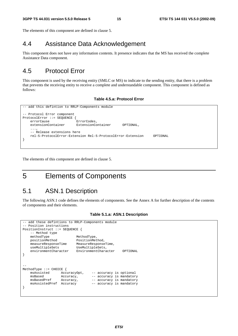The elements of this component are defined in clause 5.

## 4.4 Assistance Data Acknowledgement

This component does not have any information contents. It presence indicates that the MS has received the complete Assistance Data component.

## 4.5 Protocol Error

This component is used by the receiving entity (SMLC or MS) to indicate to the sending entity, that there is a problem that prevents the receiving entity to receive a complete and understandable component. This component is defined as follows:

#### **Table 4.5.a: Protocol Error**

```
-- add this defintion to RRLP-Components module 
 -- Protocol Error component 
ProtocolError ::= SEQUENCE { 
     errorCause ErrorCodes, 
     extensionContainer ExtensionContainer OPTIONAL, 
     ..., 
     -- Release extensions here 
     rel-5-ProtocolError-Extension Rel-5-ProtocolError-Extension OPTIONAL 
}
```
The elements of this component are defined in clause 5.

## 5 Elements of Components

## 5.1 ASN.1 Description

The following ASN.1 code defines the elements of components. See the Annex A for further description of the contents of components and their elements.

```
-- add these defintions to RRLP-Components module
-- Position instructions 
PositionInstruct ::= SEQUENCE { 
     -- Method type 
   methodType MethodType,
    positionMethod PositionMethod, 
    measureResponseTime MeasureResponseTime,<br>useMultipleSets UseMultipleSets,
    useMultipleSets
     environmentCharacter EnvironmentCharacter OPTIONAL 
} 
-- 
MethodType ::= CHOICE { 
   msAssisted AccuracyOpt, -- accuracy is optional<br>msBased Accuracy, -- accuracy is mandatory
     msBased Accuracy, -- accuracy is mandatory 
                    Accuracy, -- accuracy is mandatory
     msAssistedPref Accuracy –- accuracy is mandatory 
}
```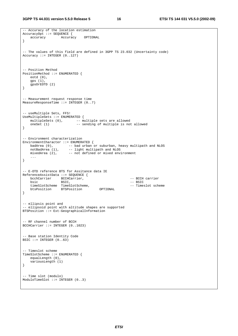```
-- Accuracy of the location estimation 
AccuracyOpt ::= SEQUENCE { 
    accuracy Accuracy OPTIONAL 
} 
-- The values of this field are defined in 3GPP TS 23.032 (Uncertainty code) 
Accuracy ::= INTEGER (0..127) 
-- Position Method 
PositionMethod ::= ENUMERATED { 
    eotd (0), 
    gps (1), 
    gpsOrEOTD (2) 
} 
-- Measurement request response time 
MeasureResponseTime ::= INTEGER (0..7) 
-- useMultiple Sets, FFS! 
UseMultipleSets ::= ENUMERATED { 
   multipleSets (0), -- multiple sets are allowed<br>oneSet (1) -- sending of multiple is not
                           -- sending of multiple is not allowed
} 
-- Environment characterization 
EnvironmentCharacter ::= ENUMERATED { 
 badArea (0), -- bad urban or suburban, heavy multipath and NLOS 
notBadArea (1), -- light multipath and NLOS
 mixedArea (2), -- not defined or mixed environment 
    ... 
} 
-- E-OTD reference BTS for Assitance data IE 
ReferenceAssistData ::= SEQUENCE { 
    bcchCarrier BCCHCarrier, -- BCCH carrier 
bsic BSIC, and BSIC, the extent of the BSIC set of the BSIC set of the BSIC set of the BSIC
timeSlotScheme TimeSlotScheme, - Timeslot scheme
 btsPosition BTSPosition OPTIONAL 
} 
-- ellipsis point and 
-- ellipsoid point with altitude shapes are supported 
BTSPosition ::= Ext-GeographicalInformation 
 -- RF channel number of BCCH 
BCCHCarrier ::= INTEGER (0..1023) 
 -- Base station Identity Code 
BSIC ::= INTEGER (0..63)- Timeslot scheme
TimeSlotScheme ::= ENUMERATED { 
    equalLength (0), 
     variousLength (1) 
} 
-- Time slot (modulo) 
ModuloTimeSlot ::= INTEGER (0..3)
```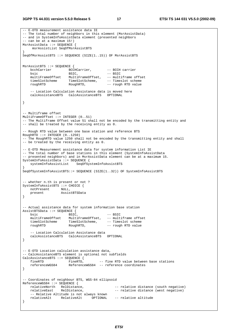**3GPP TS 44.031 version 5.5.0 Release 5 17 ETSI TS 144 031 V5.5.0 (2002-09)**

```
-- E-OTD measurement assistance data IE 
-- The total number of neighbors in this element (MsrAssistData) 
-- and in SystemInfoAssistData element (presented neighbors 
-- can be at a maximum 15!) 
MsrAssistData ::= SEQUENCE { 
     msrAssistList SeqOfMsrAssistBTS 
} 
SeqOfMsrAssistBTS ::= SEQUENCE (SIZE(1..15)) OF MsrAssistBTS 
MsrAssistBTS ::= SEQUENCE { 
bcchCarrier BCCHCarrier, -- BCCH carrier
bsic BSIC, - BSIC
    multiFrameOffset MultiFrameOffset, -- multiframe offset 
 timeSlotScheme TimeSlotScheme, -- Timeslot scheme 
 roughRTD RoughRTD, -- rough RTD value 
     -- Location Calculation Assistance data is moved here 
    calcAssistanceBTS CalcAssistanceBTS OPTIONAL 
} 
 -- Multiframe offset 
MultiFrameOffset ::= INTEGER (0..51) 
-- The Multiframe Offset value 51 shall not be encoded by the transmitting entity and 
-- shall be treated by the receiving entity as 0. 
-- Rough RTD value between one base station and reference BTS 
RoughRTD ::= INTEGER (0..1250) 
-- The RoughRTD value 1250 shall not be encoded by the transmitting entity and shall 
-- be treated by the receiving entity as 0. 
-- E-OTD Measurement assistance data for system information List IE 
-- The total number of base stations in this element (SystemInfoAssistData
-- presented neighbors) and in MsrAssistData element can be at a maximum 15. 
SystemInfoAssistData ::= SEOUENCE {
    systemInfoAssistList SeqOfSystemInfoAssistBTS 
} 
SeqOfSystemInfoAssistBTS::= SEQUENCE (SIZE(1..32)) OF SystemInfoAssistBTS 
-- whether n.th is present or not ? 
SystemInfoAssistBTS ::= CHOICE { 
   notPresent NULL, 
    present AssistBTSData 
} 
-- Actual assistance data for system information base station 
AssistBTSData ::= SEQUENCE { 
   bsic -- BSIC, -- BSIC<br>multiFrameOffset MultiFrameOffset, -- mult
                      MultiFrameOffset, -- multiframe offset<br>TimeSlotScheme, -- Timeslot scheme
 timeSlotScheme TimeSlotScheme, -- Timeslot scheme 
 roughRTD RoughRTD, -- rough RTD value 
     -- Location Calculation Assistance data 
    calcAssistanceBTS CalcAssistanceBTS OPTIONAL 
} 
-- E-OTD Location calculation assistance data, 
-- CalcAssistanceBTS element is optional not subfields 
CalcAssistanceBTS ::= SEQUENCE {<br>fineRTD FineRTD.
   fineRTD FineRTD, -- fine RTD value between base stations<br>referenceWGS84 AeferenceWGS84 -- reference coordinates
                      ReferenceWGS84 -- reference coordinates
} 
-- Coordinates of neighbour BTS, WGS-84 ellipsoid 
ReferenceWGS84 ::= SEQUENCE { 
   relativeNorth RelDistance, and the relative distance (south negative)
   relativeEast RelDistance, -- relative distance (west negative)
     -- Relative Altitude is not always known 
    relativeAlt RelativeAlt OPTIONAL -- relative altitude 
}
```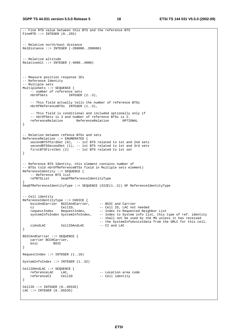-- Fine RTD value between this BTS and the reference BTS

```
FineRTD ::= INTEGER (0..255)- Relative north/east distance
RelDistance ::= INTEGER (-200000..200000) 
-- Relative altitude 
RelativeAlt ::= INTEGER (-4000..4000) 
-- Measure position response IEs 
-- Reference Identity 
-- Multiple sets 
MultipleSets ::= SEQUENCE { 
   -- number of reference sets<br>nbrOfSets INTEGER
                        INTEGER (2..3),
    -- This field actually tells the number of reference BTSs 
    nbrOfReferenceBTSs INTEGER (1..3), 
    -- This field is conditional and included optionally only if 
     -- nbrOfSets is 3 and number of reference BTSs is 2. 
    referenceRelation ReferenceRelation OPTIONAL 
} 
-- Relation between refence BTSs and sets 
ReferenceRelation ::= ENUMERATED { 
   secondBTSThirdSet (0), -- 1st BTS related to 1st and 2nd sets
 secondBTSSecondSet (1), -- 1st BTS related to 1st and 3rd sets 
 firstBTSFirstSet (2) -- 1st BTS related to 1st set 
} 
-- Reference BTS Identity, this element contains number of 
-- BTSs told nbrOfReferenceBTSs field in Multiple sets element) 
ReferenceIdentity ::= SEQUENCE { 
     -- Reference BTS list 
    refBTSList SeqOfReferenceIdentityType 
} 
SeqOfReferenceIdentityType ::= SEQUENCE (SIZE(1..3)) OF ReferenceIdentityType 
-- Cell identity 
ReferenceIdentityType ::= CHOICE { 
    bsicAndCarrier BSICAndCarrier, -- BSIC and Carrier 
    ci CellID, -- Cell ID, LAC not needed 
   requestIndex RequestIndex, -- Index to Requested Neighbor List<br>systemInfoIndex SystemInfoIndex, -- Index to System info list, this t
                                         -- Index to System info list, this type of ref. identity
                                          -- shall not be used by the MS unless it has received 
                                         -- the SystemInfoAssistData from the SMLC for this cell.<br>-- CI and LAC
    ciAndLAC CellIDAndLAC -- CI and LAC 
} 
BSICAndCarrier ::= SEQUENCE { 
    carrier BCCHCarrier, 
    bsic BSIC 
} 
RequestIndex ::= INTEGER (1..16) 
SystemInfoIndex ::= INTEGER (1..32) 
CellIDAndLAC ::= SEQUENCE { 
    referenceLAC LAC, -- Location area code 
                   CellID -- Cell identity
} 
CellID ::= INTEGER (0..65535) 
LAC ::= INTEGER (0..65535)
```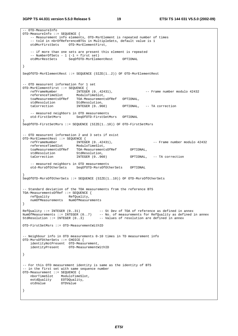-- OTD-MeasureInfo OTD-MeasureInfo ::= SEQUENCE { -- Measurement info elements, OTD-MsrElement is repeated number of times -- told in nbrOfReferenceBTSs in MultipleSets, default value is 1 otdMsrFirstSets OTD-MsrElementFirst, -- if more than one sets are present this element is repeated -- NumberOfSets - 1 (-1 = first set) SeqOfOTD-MsrElementRest OPTIONAL } SeqOfOTD-MsrElementRest ::= SEQUENCE (SIZE(1..2)) OF OTD-MsrElementRest -- OTD measurent information for 1 set OTD-MsrElementFirst ::= SEQUENCE {<br>refFrameNumber INTEGER (0..42431), refFrameNumber INTEGER (0..42431), -- Frame number modulo 42432<br>
referenceTimeSlot ModuloTimeSlot,<br>
teeMeesusement of Default Core of Core of Core of Core of Core of Core of Core of Core of Core of Core of Cor referenceTimeSlot ModuloTimeSlot, toaMeasurementsOfRef TOA-MeasurementsOfRef OPTIONAL, stdResolution StdResolution, taCorrection INTEGER (0..960) OPTIONAL, -- TA correction -- measured neighbors in OTD measurements<br>otd-FirstSetMars SecOfOTD-FirstSetM otd-FirstSetMsrs SeqOfOTD-FirstSetMsrs OPTIONAL } SeqOfOTD-FirstSetMsrs ::= SEQUENCE (SIZE(1..10)) OF OTD-FirstSetMsrs -- OTD measurent information 2 and 3 sets if exist OTD-MsrElementRest ::= SEQUENCE { refFrameNumber INTEGER (0..42431), -- Frame number modulo 42432 referenceTimeSlot ModuloTimeSlot, toaMeasurementsOfRef TOA-MeasurementsOfRef OPTIONAL, stdResolution StdResolution,<br>taCorrection INTEGER (0..960) OPTIONAL, -- TA correction -- measured neighbors in OTD measurements<br>otd-MsrsOfOtherSets SeqOfOTD-MsrsOfOth SeqOfOTD-MsrsOfOtherSets OPTIONAL } SeqOfOTD-MsrsOfOtherSets ::= SEQUENCE (SIZE(1..10)) OF OTD-MsrsOfOtherSets -- Standard deviation of the TOA measurements from the reference BTS TOA-MeasurementsOfRef ::= SEQUENCE { refQuality RefQuality, numOfMeasurements NumOfMeasurements } RefQuality ::= INTEGER (0..31) -- St Dev of TOA of reference as defined in annex NumOfMeasurements ::= INTEGER (0..7) -- No. of measurements for RefQuality as defined in annex StdResolution  $::=$  INTEGER  $(0..3)$  -- Values of resolution are defined in annex OTD-FirstSetMsrs ::= OTD-MeasurementWithID -- Neighbour info in OTD measurements 0-10 times in TD measurement info OTD-MsrsOfOtherSets ::= CHOICE { identityNotPresent OTD-Measurement, identityPresent OTD-MeasurementWithID } -- For this OTD measurement identity is same as the identity of BTS -- in the first set with same sequence number OTD-Measurement ::= SEQUENCE { nborTimeSlot ModuloTimeSlot, eotdQuality EOTDQuality, otdValue OTDValue }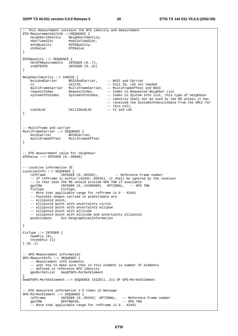```
-- This measurement contains the BTS identity and measurement 
OTD-MeasurementWithID ::=SEQUENCE { 
 neighborIdentity NeighborIdentity, 
 nborTimeSlot ModuloTimeSlot, 
 eotdQuality EOTDQuality, 
    otdValue OTDValue 
} 
EOTDQuality ::= SEQUENCE { 
   nbrOfMeasurements INTEGER (0..7),
   stdOfEOTD INTEGER (0..31)} 
NeighborIdentity ::= CHOICE { 
 bsicAndCarrier BSICAndCarrier, -- BSIC and Carrier 
 ci CellID, -- Cell ID, LAC not needed 
    multiFrameCarrier MultiFrameCarrier, -- MultiFrameOffest and BSIC 
requestIndex RequestIndex, -- Index to Requested Neighbor List
 systemInfoIndex SystemInfoIndex, -- Index to System info list, this type of neighbour 
                                          -- identity shall not be used by the MS unless it has 
                                          -- received the SystemInfoAssistData from the SMLC for 
    -- this cell. 
             CellIDAndLAC
} 
-- Multiframe and carrier 
MultiFrameCarrier ::= SEQUENCE { 
bcchCarrier BCCHCarrier,
 multiFrameOffset MultiFrameOffset 
} 
-- OTD measurement value for neighbour 
OTDValue ::= INTEGER (0..39999) 
-- Location information IE 
LocationInfo ::= SEQUENCE {<br>refFrame INTEGER (0..65535),
refFrame       INTEGER (0..65535),        -- Reference Frame number
 -- If refFrame is within (42432..65535), it shall be ignored by the receiver 
    -- in that case the MS should provide GPS TOW if available 
 gpsTOW INTEGER (0..14399999) OPTIONAL, -- GPS TOW 
 fixType FixType, 
    -- Note that applicable range for refFrame is 0 - 42431 
    -- Possible shapes carried in posEstimate are 
    -- ellipsoid point, 
    -- ellipsoid point with uncertainty circle 
    -- ellipsoid point with uncertainty ellipse 
    -- ellipsoid point with altitude 
    -- ellipsoid point with altitude and uncertainty ellipsoid 
    posEstimate Ext-GeographicalInformation 
} 
FixType ::= INTEGER { 
   twoDFix (0), 
    threeDFix (1) 
} (0..1) 
-- GPS-Measurement information 
GPS-MeasureInfo ::= SEQUENCE { 
    -- Measurement info elements 
    -- user has to make sure that in this element is number of elements 
     -- defined in reference BTS identity 
    gpsMsrSetList SeqOfGPS-MsrSetElement 
} 
SeqOfGPS-MsrSetElement ::= SEQUENCE (SIZE(1..3)) OF GPS-MsrSetElement 
-- OTD measurent information 1-3 times in message 
GPS-MsrSetElement ::= SEQUENCE {<br>refFrame INTEGER (0..6
   refFrame INTEGER (0..65535) OPTIONAL, -- Reference Frame number<br>qpsTOW GPSTOW24b, -- GPS TOW
                  GPSTOW 24b, - GPS TOW
    -- Note that applicable range for refFrame is 0 - 42431
```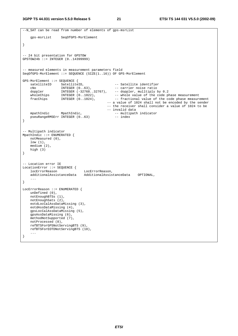```
--N_SAT can be read from number of elements of gps-msrList 
    gps-msrList SeqOfGPS-MsrElement 
} 
-- 24 bit presentation for GPSTOW 
GPSTOW24b ::= INTEGER (0..14399999) 
-- measured elements in measurement parameters field 
SeqOfGPS-MsrElement ::= SEQUENCE (SIZE(1..16)) OF GPS-MsrElement
GPS-MsrElement ::= SEQUENCE { 
   satelliteID SatelliteID, -- Satellite identifier
 cNo INTEGER (0..63), -- carrier noise ratio 
 doppler INTEGER (-32768..32767), -- doppler, mulltiply by 0.2 
wholeChips INTEGER (0..1022), - - whole value of the code phase measurement
fracChips INTEGER (0..1024), -- fractional value of the code phase measurement
                                          -- a value of 1024 shall not be encoded by the sender 
                                           -- the receiver shall consider a value of 1024 to be 
   -- invalid data<br>mpathIndic MpathIndic, 1999 -- multipatl
                                              -- multipath indicator<br>-- index
   pseuRangeRMSErr INTEGER (0..63)
} 
-- Multipath indicator 
MpathIndic ::= ENUMERATED { 
    notMeasured (0), 
    low (1), 
    medium (2), 
    high (3) 
} 
-- Location error IE 
LocationError ::= SEQUENCE { 
    locErrorReason LocErrorReason, 
                              AdditionalAssistanceData OPTIONAL,
 ... 
} 
LocErrorReason ::= ENUMERATED { 
    unDefined (0), 
    notEnoughBTSs (1), 
    notEnoughSats (2), 
    eotdLocCalAssDataMissing (3), 
    eotdAssDataMissing (4), 
    gpsLocCalAssDataMissing (5), 
    gpsAssDataMissing (6), 
    methodNotSupported (7), 
    notProcessed (8), 
    refBTSForGPSNotServingBTS (9), 
    refBTSForEOTDNotServingBTS (10), 
    ... 
}
```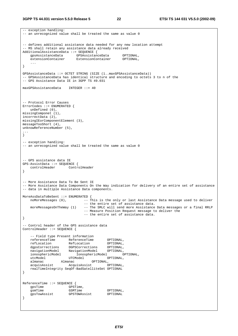```
-- exception handling:
-- an unrecognized value shall be treated the same as value 0 
-- defines additional assistance data needed for any new location attempt 
-- MS shall retain any assistance data already received 
AdditionalAssistanceData ::= SEQUENCE { 
 gpsAssistanceData GPSAssistanceData OPTIONAL, 
 extensionContainer ExtensionContainer OPTIONAL, 
    ... 
} 
GPSAssistanceData ::= OCTET STRING (SIZE (1..maxGPSAssistanceData)) 
-- GPSAssistanceData has identical structure and encoding to octets 3 to n of the 
-- GPS Assistance Data IE in 3GPP TS 49.031 
maxGPSAssistanceData INTEGER ::= 40 
-- Protocol Error Causes 
ErrorCodes ::= ENUMERATED { 
    unDefined (0), 
missingComponet (1), 
incorrectData (2), 
missingIEorComponentElement (3), 
messageTooShort (4), 
unknowReferenceNumber (5), 
... 
} 
-- exception handling: 
-- an unrecognized value shall be treated the same as value 0
-- GPS assistance data IE 
GPS-AssistData ::= SEQUENCE { 
                  ControlHeader
} 
-- More Assistance Data To Be Sent IE 
-- More Assistance Data Components On the Way indication for delivery of an entire set of assistance 
-- data in multiple Assistance Data components. 
MoreAssDataToBeSent ::= ENUMERATED { 
  noMoreMessages (0), --- This is the only or last Assistance Data message used to deliver
                               -- the entire set of assistance data. 
    moreMessagesOnTheWay (1) -- The SMLC will send more Assistance Data messages or a final RRLP 
                               -- Measure Position Request message to deliver the 
                               -- the entire set of assistance data. 
} 
-- Control header of the GPS assistance data 
ControlHeader ::= SEQUENCE { 
    -- Field type Present information 
 referenceTime ReferenceTime OPTIONAL, 
 refLocation RefLocation OPTIONAL, 
 dgpsCorrections DGPSCorrections OPTIONAL, 
 navigationModel NavigationModel OPTIONAL, 
 ionosphericModel IonosphericModel OPTIONAL, 
utcModel UTCModel OPTIONAL,
 almanac Almanac OPTIONAL, 
 acquisAssist AcquisAssist OPTIONAL, 
    realTimeIntegrity SeqOf-BadSatelliteSet OPTIONAL 
} 
ReferenceTime ::= SEQUENCE { 
   gpsTime GPSTime,<br>gsmTime GSMTime
                     gsmTime GSMTime OPTIONAL, 
   gpsTowAssist
}
```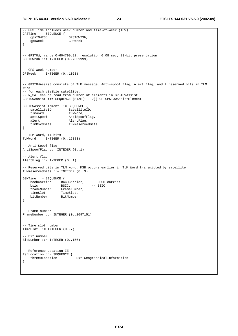```
-- GPS Time includes week number and time-of-week (TOW) 
GPSTime ::= SEQUENCE { 
    gpsTOW23b GPSTOW23b, 
    gpsWeek GPSWeek 
} 
-- GPSTOW, range 0-604799.92, resolution 0.08 sec, 23-bit presentation 
GPSTOW23b ::= INTEGER (0..7559999) 
-- GPS week number 
GPSWeek ::= INTER (0..1023)-- GPSTOWAssist consists of TLM message, Anti-spoof flag, Alert flag, and 2 reserved bits in TLM 
Word 
-- for each visible satellite. 
-- N SAT can be read from number of elements in GPSTOWAssist
GPSTOWAssist ::= SEQUENCE (SIZE(1..12)) OF GPSTOWAssistElement 
GPSTOWAssistElement ::= SEQUENCE { 
 satelliteID SatelliteID, 
 tlmWord TLMWord, 
   antiSpoof AntiSpoofFlag,
   alert AlertFlag,<br>tlmRsvdBits TLMReserve
                       TLMReservedBits
} 
-- TLM Word, 14 bits 
TLMWord := INTEGER (0..16383)-- Anti-Spoof flag 
AntiSpoofFlag ::= INTEGER (0..1) 
 -- Alert flag 
AlertFlag ::= INTEGER (0..1)-- Reserved bits in TLM word, MSB occurs earlier in TLM Word transmitted by satellite 
TLMReservedBits ::= INTEGER (0..3) 
GSMTime ::= SEQUENCE { 
   bcchCarrier BCCHCarrier, -- BCCH carrier<br>bsic BSIC, -- BSIC
   bsic BSIC, -- BSIC<br>frameNumber FrameNumber,
   frameNumber FrameNumber,<br>timeSlot TimeSlot,
 timeSlot TimeSlot, 
 bitNumber BitNumber 
} 
-- Frame number 
FrameNumber ::= INTEGER (0..2097151) 
-- Time slot number 
TimeSlot ::= INTEGER (0..7) 
 -- Bit number 
BitNumber ::= INTEGER (0..156) 
 - Reference Location IE
RefLocation ::= SEQUENCE { 
     threeDLocation Ext-GeographicalInformation 
}
```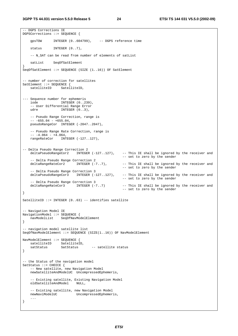-- DGPS Corrections IE DGPSCorrections ::= SEQUENCE { gpsTOW INTEGER (0..604799), -- DGPS reference time status INTEGER  $(0..7)$ , -- N\_SAT can be read from number of elements of satList satList SeqOfSatElement } SeqOfSatElement ::= SEQUENCE (SIZE (1..16)) OF SatElement -- number of correction for satellites SatElement ::= SEQUENCE { satelliteID SatelliteID, --- Sequence number for ephemeris iode INTEGER (0..239), -- User Differential Range Error udre INTEGER (0..3), -- Pseudo Range Correction, range is  $-- -655.04 - +655.04,$ pseudoRangeCor INTEGER (-2047..2047), -- Pseudo Range Rate Correction, range is  $-- -4.064 - +4.064,$  rangeRateCor INTEGER (-127..127), -- Delta Pseudo Range Correction 2 deltaPseudoRangeCor2 INTEGER (-127..127), -- This IE shall be ignored by the receiver and -- set to zero by the sender -- Delta Pseudo Range Correction 2<br>deltaRangeRateCor2 INTEGER (-7..7), deltaRangeRateCor2 INTEGER (-7..7), - This IE shall be ignored by the receiver and -- set to zero by the sender -- Delta Pseudo Range Correction 3<br>deltaPseudoRangeCor3 INTEGER (-127..127), -- This IE shall be ignored by the receiver and -- set to zero by the sender -- Delta Pseudo Range Correction 3<br>deltaRangeRateCor3 INTEGER (-7..7) -- This IE shall be ignored by the receiver and -- set to zero by the sender } SatelliteID ::= INTEGER (0..63) -- identifies satellite -- Navigation Model IE NavigationModel ::= SEQUENCE { navModelList SeqOfNavModelElement } -- navigation model satellite list SeqOfNavModelElement ::= SEQUENCE (SIZE(1..16)) OF NavModelElement NavModelElement ::= SEQUENCE { satelliteID SatelliteID, satStatus SatStatus -- satellite status } -- the Status of the navigation model SatStatus ::= CHOICE { -- New satellite, new Navigation Model newSatelliteAndModelUC UncompressedEphemeris, -- Existing satellite, Existing Navigation Model oldSatelliteAndModel NULL, -- Existing satellite, new Navigation Model<br>newNaviModelUC UncompressedEphemer UncompressedEphemeris, ... }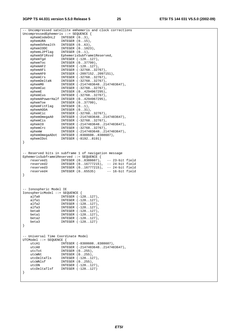-- Uncompressed satellite emhemeris and clock corrections UncompressedEphemeris ::= SEQUENCE { ephemCodeOnL2 INTEGER  $(0..3)$ , ephemURA INTEGER (0..15), ephemSVhealth INTEGER (0..63), ephemIODC INTEGER (0..1023), ephemL2Pflag INTEGER (0..1), ephemSF1Rsvd EphemerisSubframe1Reserved, ephemTgd INTEGER (-128..127), ephemToc INTEGER (0..37799), ephemAF2 INTEGER (-128..127), ephemAF1 INTEGER (-32768..32767), ephemAF0 INTEGER (-2097152..2097151), ephemCrs INTEGER (-32768..32767), ephemDeltaN INTEGER (-32768..32767), ephemM0 INTEGER (-2147483648..2147483647), ephemCuc INTEGER (-32768..32767), ephemE INTEGER (0..4294967295), ephemCus INTEGER (-32768..32767), ephemAPowerHalf INTEGER (0..4294967295), ephemToe INTEGER (0..37799), ephemFitFlag INTEGER (0..1), ephemAODA INTEGER (0..31), ephemCic INTEGER (-32768..32767), ephemOmegaA0 INTEGER (-2147483648..2147483647), ephemCis INTEGER (-32768..32767), ephemI0 INTEGER (-2147483648..2147483647), ephemCrc INTEGER (-32768..32767), ephemW INTEGER (-2147483648..2147483647), ephemOmegaADot INTEGER (-8388608..8388607), ephemIDot INTEGER (-8192..8191) } -- Reserved bits in subframe 1 of navigation message EphemerisSubframe1Reserved ::= SEQUENCE { reserved1 INTEGER (0..8388607), -- 23-bit field<br>
reserved2 INTEGER (0..16777215), -- 24-bit field<br>
reserved2 INTEGER (0..16777215), -- 24-bit field reserved2 INTEGER (0..16777215), -- 24-bit field reserved3 INTEGER (0..16777215), -- 24-bit field reserved4 INTEGER (0..65535) -- 16-bit field } -- Ionospheric Model IE IonosphericModel ::= SEQUENCE { alfa0 INTEGER (-128..127), alfa1 INTEGER (-128..127), alfa2 INTEGER (-128..127), alfa3 INTEGER (-128..127), beta0 INTEGER (-128..127), beta1 INTEGER (-128..127), beta1 INTEGER (-128..127),<br>beta2 INTEGER (-128..127),<br>beta3 INTEGER (-128..127) INTEGER (-128..127) } -- Universal Time Coordinate Model UTCModel ::= SEQUENCE { INTEGER (-8388608..8388607), utcA0 INTEGER (-2147483648..2147483647), utcTot INTEGER (0..255), utcWNt INTEGER (0..255), utcDeltaTls INTEGER (-128..127), utcWNlsf INTEGER (0..255), utcDN INTEGER (-128..127), utcDeltaTlsf INTEGER (-128..127) }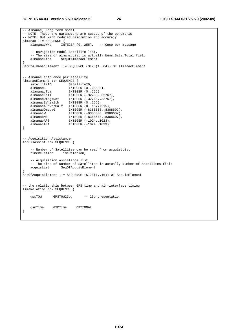#### **3GPP TS 44.031 version 5.5.0 Release 5 26 ETSI TS 144 031 V5.5.0 (2002-09)**

```
-- Almanac, Long term model 
-- NOTE: These are parameters are subset of the ephemeris 
-- NOTE: But with reduced resolution and accuracy 
Almanac ::= SEQUENCE {<br>alamanacWNa    INTEGER (0..255),
    alamanacWNa INTEGER (0..255), -- Once per message 
     -- navigation model satellite list. 
   -- The size of almanacList is actually Nums_Sats_Total field<br>almanacList SeqOfAlmanacElement
                  SeqOfAlmanacElement
} 
SeqOfAlmanacElement ::= SEQUENCE (SIZE(1..64)) OF AlmanacElement 
-- Almanac info once per satellite 
AlmanacElement ::= SEQUENCE { 
   satelliteID SatelliteID,
   almanacE INTEGER (0..65535),
 alamanacToa INTEGER (0..255), 
 almanacKsii INTEGER (-32768..32767), 
 almanacOmegaDot INTEGER (-32768..32767), 
 almanacSVhealth INTEGER (0..255), 
    almanacAPowerHalf INTEGER (0..16777215), 
 almanacOmega0 INTEGER (-8388608..8388607), 
 almanacW INTEGER (-8388608..8388607), 
 almanacM0 INTEGER (-8388608..8388607), 
 almanacAF0 INTEGER (-1024..1023), 
 almanacAF1 INTEGER (-1024..1023) 
} 
-- Acquisition Assistance 
AcquisAssist ::= SEQUENCE { 
    -- Number of Satellites can be read from acquistList 
    timeRelation TimeRelation, 
     -- Acquisition assistance list 
   -- The size of Number of Satellites is actually Number of Satellites field acquisList SeqOfAcquisElement
                   SeqOfAcquisElement
} 
SeqOfAcquisElement ::= SEQUENCE (SIZE(1..16)) OF AcquisElement 
-- the relationship between GPS time and air-interface timing 
TimeRelation ::= SEQUENCE { 
 -- 
    gpsTOW GPSTOW23b, -- 23b presentation 
    gsmTime GSMTime OPTIONAL 
}
```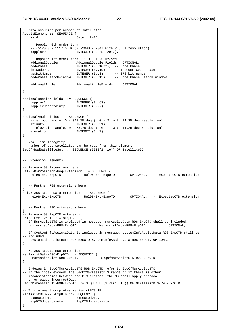-- data occuring per number of satellites

AcquisElement ::= SEQUENCE { svid SatelliteID. -- Doppler 0th order term, -- -5120.0 - 5117.5 Hz (= -2048 - 2047 with 2.5 Hz resolution) doppler0 **INTEGER** (-2048..2047), -- Doppler 1st order term, -1.0 - +0.5 Hz/sec addionalDoppler AddionalDopplerFields OPTIONAL, codePhase INTEGER (0..1022), -- Code Phase intCodePhase INTEGER (0..19), -- Integer Code Phase gpsBitNumber INTEGER (0..3), -- GPS bit number codePhaseSearchWindow INTEGER (0..15), -- Code Phase Search Window addionalAngle AddionalAngleFields OPTIONAL } AddionalDopplerFields ::= SEQUENCE { doppler1 INTEGER  $(0..63)$ , dopplerUncertainty INTEGER (0..7) } AddionalAngleFields ::= SEQUENCE {  $--$  azimuth angle,  $0 - 348.75$  deg (= 0 - 31 with 11.25 deg resolution) azimuth INTEGER  $(0..31)$ ,  $--$  elevation angle,  $0 - 78.75$  deg  $(= 0 - 7$  with 11.25 deg resolution) elevation INTEGER  $(0..7)$ } -- Real-Time Integrity -- number of bad satellites can be read from this element SeqOf-BadSatelliteSet ::= SEQUENCE (SIZE(1..16)) OF SatelliteID -- Extension Elements -- Release 98 Extensions here Rel98-MsrPosition-Req-Extension ::= SEQUENCE { OPTIONAL, -- ExpectedOTD extension ... -- Further R98 extensions here } Rel98-AssistanceData-Extension ::= SEQUENCE {<br>rel98-Ext-ExpOTD Rel98-Ext-ExpOTD OPTIONAL, -- ExpectedOTD extension ... -- Further R98 extensions here } -- Release 98 ExpOTD extension Rel98-Ext-ExpOTD ::= SEQUENCE { -- If MsrAssistBTS is included in message, msrAssistData-R98-ExpOTD shall be included.<br>msrAssistData-R98-ExpOTD MsrAssistData-R98-ExpOTD OPTIONAL. msrAssistData-R98-ExpOTD MsrAssistData-R98-ExpOTD OPTIONAL, -- If SystemInfoAssistaData is included in message, systemInfoAssistData-R98-ExpOTD shall be -- included. systemInfoAssistData-R98-ExpOTD SystemInfoAssistData-R98-ExpOTD OPTIONAL } -- MsrAssistData R98 extension MsrAssistData-R98-ExpOTD ::= SEQUENCE { msrAssistList-R98-ExpOTD SeqOfMsrAssistBTS-R98-ExpOTD } -- Indexes in SeqOfMsrAssistBTS-R98-ExpOTD refer to SeqOfMsrAssistBTS -- If the index exceeds the SegOfMsrAssistBTS range or if there is other -- inconsistencies between the BTS indices, the MS shall apply protocol -- error cause incorrectData SeqOfMsrAssistBTS-R98-ExpOTD ::= SEQUENCE (SIZE(1..15)) OF MsrAssistBTS-R98-ExpOTD -- This element completes MsrAssistBTS IE MsrAssistBTS-R98-ExpOTD ::= SEQUENCE { expectedOTD ExpectedOTD, expOTDUncertainty ExpOTDUncertainty }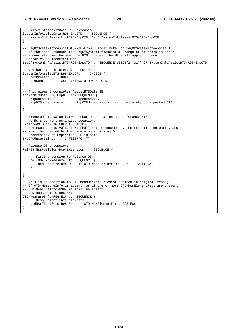**3GPP TS 44.031 version 5.5.0 Release 5 28 ETSI TS 144 031 V5.5.0 (2002-09)**

```
-- SystemInfoAssistData R98 extension 
SystemInfoAssistData-R98-ExpOTD ::= SEQUENCE { 
    systemInfoAssistListR98-ExpOTD SeqOfSystemInfoAssistBTS-R98-ExpOTD 
} 
-- SeqOfSystemInfoAssistBTS-R98-ExpOTD index refer to SeqOfSystemInfoAssistBTS 
-- If the index exceeds the SegOfSystemInfoAssistBTS range or if there is other
-- inconsistencies between the BTS indices, the MS shall apply protocol 
-- error cause incorrectData 
SeqOfSystemInfoAssistBTS-R98-ExpOTD ::= SEQUENCE (SIZE(1..32)) OF SystemInfoAssistBTS-R98-ExpOTD 
-- whether n.th is present or not ? 
SystemInfoAssistBTS-R98-ExpOTD ::= CHOICE { 
   notPresent NULL,<br>present Assis
                    present AssistBTSData-R98-ExpOTD 
} 
-- This element completes AssistBTSData IE 
AssistBTSData-R98-ExpOTD ::= SEQUENCE { 
   expectedOTD ExpectedOTD,
     expOTDuncertainty ExpOTDUncertainty -- Uncertainty of expected OTD 
} 
-- Expected OTD value between nbor base station and reference BTS 
-- at MS's current estimated location. 
ExpectedOTD ::= INTEGER (0..1250) 
-- The ExpectedOTD value 1250 shall not be encoded by the transmitting entity and 
-- shall be treated by the receiving entity as 0. 
-- Uncertainty of Exptected OTD in bits 
ExpOTDUncertainty ::= INTEGER(0..7)
-- Release 98 extensions 
Rel-98-MsrPosition-Rsp-Extension ::= SEQUENCE { 
     -- First extension to Release 98 
    rel-98-Ext-MeasureInfo SEQUENCE { 
         otd-MeasureInfo-R98-Ext OTD-MeasureInfo-R98-Ext OPTIONAL 
     }, 
     ... 
} 
-- This is an addition to OTD-MeasureInfo element defined in original message, 
-- If OTD-MeasureInfo is absent, or if one or more OTD-MsrElementRest are present 
-- OTD-MeasureInfo-R98-Ext shall be absent. 
-- OTD-MeasureInfo-R98-Ext 
OTD-MeasureInfo-R98-Ext ::= SEQUENCE { 
     -- Measurement info elements 
    otdMsrFirstSets-R98-Ext OTD-MsrElementFirst-R98-Ext 
}
```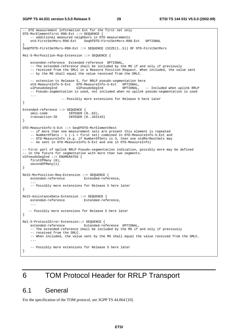```
-- OTD measurement information Ext for the first set only 
OTD-MsrElementFirst-R98-Ext ::= SEQUENCE { 
    -- additional measured neighbors in OTD measurements
     otd-FirstSetMsrs-R98-Ext SeqOfOTD-FirstSetMsrs-R98-Ext OPTIONAL 
} 
SeqOfOTD-FirstSetMsrs-R98-Ext ::= SEQUENCE (SIZE(1..5)) OF OTD-FirstSetMsrs 
Rel-5-MsrPosition-Rsp-Extension ::= SEQUENCE { 
     extended-reference Extended-reference OPTIONAL, 
     -- The extended-reference shall be included by the MS if and only if previously 
     -- received from the SMLC in a Measure Position Request. When included, the value sent 
     -- by the MS shall equal the value received from the SMLC. 
    -- extension to Release 5, for RRLP pseudo-segmentation here<br>otd-MeasureInfo-5-Ext OTD-MeasureInfo-5-Ext OPTIONAL,
    otd-MeasureInfo-5-Ext OTD-MeasureInfo-5-Ext
    ulPseudoSegInd UlPseudoSegInd OPTIONAL, -- Included when uplink RRLP 
     -- Pseudo-segmentation is used, not included when no uplink pseudo-segmentation is used 
     ... 
                     -- Possibly more extensions for Release 5 here later 
} 
Extended-reference ::= SEQUENCE { 
 smlc-code INTEGER (0..63), 
 transaction-ID INTEGER (0..262143) 
} 
OTD-MeasureInfo-5-Ext ::= SeqOfOTD-MsrElementRest 
     -- if more than one measurement sets are present this element is repeated 
     -- NumberOfSets - 1 (-1 = first set) combined in OTD-MeasureInfo-5-Ext and 
    -- OTD-MeasureInfo (e.g. if NumberOfSets is 3, then one otdMsrRestSets may
     -- be sent in OTD-MeasureInfo-5-Ext and one in OTD-MeasureInfo) 
-- First part of Uplink RRLP Pseudo-segmentation indication, possibly more may be defined 
-- in the future for segmentation with more than two segments.
UlPseudoSegInd ::= ENUMERATED { 
     firstOfMany (0), 
     secondOfMany(1) 
} 
Rel5-MsrPosition-Req-Extension ::= SEQUENCE { 
     extended-reference Extended-reference, 
 ... 
     -- Possibly more extensions for Release 5 here later 
} 
Rel5-AssistanceData-Extension ::= SEQUENCE { 
    extended-reference Extended-reference, 
 ... 
   -- Possibly more extensions for Release 5 here later 
} 
Rel-5-ProtocolError-Extension::= SEQUENCE { 
    extended-reference Extended-reference OPTIONAL, 
     -- The extended-reference shall be included by the MS if and only if previously 
     -- received from the SMLC. 
     -- When included, the value sent by the MS shall equal the value received from the SMLC. 
 ... 
     -- Possibly more extensions for Release 5 here later 
}
```
## 6 TOM Protocol Header for RRLP Transport

## 6.1 General

For the specification of the TOM protocol, see 3GPP TS 44.064 [10].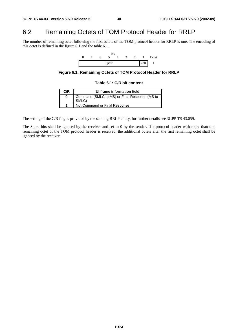## 6.2 Remaining Octets of TOM Protocol Header for RRLP

The number of remaining octet following the first octets of the TOM protocol header for RRLP is one. The encoding of this octet is defined in the figure 6.1 and the table 6.1.



**Figure 6.1: Remaining Octets of TOM Protocol Header for RRLP** 

#### **Table 6.1: C/R bit content**

| C/R | UI frame information field                             |
|-----|--------------------------------------------------------|
|     | Command (SMLC to MS) or Final Response (MS to<br>SMLC) |
|     | Not Command or Final Response                          |

The setting of the C/R flag is provided by the sending RRLP entity, for further details see 3GPP TS 43.059.

The Spare bits shall be ignored by the receiver and set to 0 by the sender. If a protocol header with more than one remaining octet of the TOM protocol header is received, the additional octets after the first remaining octet shall be ignored by the receiver.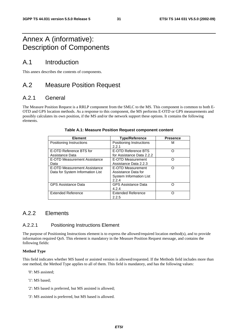## Annex A (informative): Description of Components

## A.1 Introduction

This annex describes the contents of components.

## A.2 Measure Position Request

## A.2.1 General

The Measure Position Request is a RRLP component from the SMLC to the MS. This component is common to both E-OTD and GPS location methods. As a response to this component, the MS performs E-OTD or GPS measurements and possibly calculates its own position, if the MS and/or the network support these options. It contains the following elements.

| <b>Element</b>                   | <b>Type/Reference</b>      | <b>Presence</b> |
|----------------------------------|----------------------------|-----------------|
| Positioning Instructions         | Positioning Instructions   | М               |
|                                  | 2.2.1                      |                 |
| E-OTD Reference BTS for          | E-OTD Reference BTS        | ∩               |
| Assistance Data                  | for Assistance Data 2.2.2  |                 |
| E-OTD Measurement Assistance     | E-OTD Measurement          | Ω               |
| Data                             | Assistance Data 2.2.3      |                 |
| E-OTD Measurement Assistance     | E-OTD Measurement          | ∩               |
| Data for System Information List | Assistance Data for        |                 |
|                                  | System Information List    |                 |
|                                  | 2.2.4                      |                 |
| <b>GPS Assistance Data</b>       | <b>GPS Assistance Data</b> |                 |
|                                  | 4.2.4                      |                 |
| <b>Extended Reference</b>        | <b>Extended Reference</b>  |                 |
|                                  | 2.2.5                      |                 |

#### **Table A.1: Measure Position Request component content**

## A.2.2 Flements

### A.2.2.1 Positioning Instructions Element

The purpose of Positioning Instructions element is to express the allowed/required location method(s), and to provide information required QoS. This element is mandatory in the Measure Position Request message, and contains the following fields:

#### **Method Type**

This field indicates whether MS based or assisted version is allowed/requested. If the Methods field includes more than one method, the Method Type applies to all of them. This field is mandatory, and has the following values:

- '0': MS assisted;
- '1': MS based;
- '2': MS based is preferred, but MS assisted is allowed;
- '3': MS assisted is preferred, but MS based is allowed.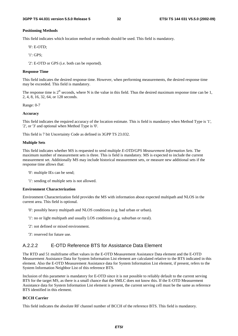#### **Positioning Methods**

This field indicates which location method or methods should be used. This field is mandatory.

'0': E-OTD;

'1': GPS;

'2': E-OTD or GPS (i.e. both can be reported).

#### **Response Time**

This field indicates the desired response time. However, when performing measurements, the desired response time may be exceeded. This field is mandatory.

The response time is  $2^N$  seconds, where N is the value in this field. Thus the desired maximum response time can be 1, 2, 4, 8, 16, 32, 64, or 128 seconds.

Range: 0-7

#### **Accuracy**

This field indicates the required accuracy of the location estimate. This is field is mandatory when Method Type is '1', '2', or '3' and optional when Method Type is '0'.

This field is 7 bit Uncertainty Code as defined in 3GPP TS 23.032.

#### **Multiple Sets**

This field indicates whether MS is requested to send multiple *E-OTD/GPS Measurement Information Sets*. The maximum number of measurement sets is three. This is field is mandatory. MS is expected to include the current measurement set. Additionally MS may include historical measurement sets, or measure new additional sets if the response time allows that:

- '0': multiple IEs can be send;
- '1': sending of multiple sets is not allowed.

#### **Environment Characterization**

Environment Characterization field provides the MS with information about expected multipath and NLOS in the current area. This field is optional.

- '0': possibly heavy multipath and NLOS conditions (e.g. bad urban or urban).
- '1': no or light multipath and usually LOS conditions (e.g. suburban or rural).
- '2': not defined or mixed environment.
- '3': reserved for future use.

#### A.2.2.2 E-OTD Reference BTS for Assistance Data Element

The RTD and 51 multiframe offset values in the E-OTD Measurement Assistance Data element and the E-OTD Measurement Assistance Data for System Information List element are calculated relative to the BTS indicated in this element. Also the E-OTD Measurement Assistance data for System Information List element, if present, refers to the System Information Neighbor List of this reference BTS.

Inclusion of this parameter is mandatory for E-OTD since it is not possible to reliably default to the current serving BTS for the target MS, as there is a small chance that the SMLC does not know this. If the E-OTD Measurement Assistance data for System Information List element is present, the current serving cell must be the same as reference BTS identified in this element.

#### **BCCH Carrier**

This field indicates the absolute RF channel number of BCCH of the reference BTS. This field is mandatory.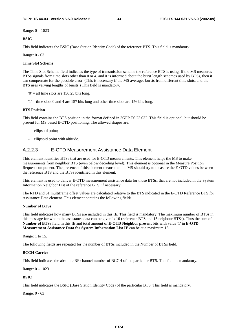Range: 0 – 1023

**BSIC**

This field indicates the BSIC (Base Station Identity Code) of the reference BTS. This field is mandatory.

Range: 0 - 63

#### **Time Slot Scheme**

The Time Slot Scheme field indicates the type of transmission scheme the reference BTS is using. If the MS measures BTSs signals from time slots other than 0 or 4, and it is informed about the burst length schemes used by BTSs, then it can compensate for the possible error. (This is necessary if the MS averages bursts from different time slots, and the BTS uses varying lengths of bursts.) This field is mandatory.

 $0'$  = all time slots are 156.25 bits long.

 $'1'$  = time slots 0 and 4 are 157 bits long and other time slots are 156 bits long.

#### **BTS Position**

This field contains the BTS position in the format defined in 3GPP TS 23.032. This field is optional, but should be present for MS based E-OTD positioning. The allowed shapes are:

- ellipsoid point;
- ellipsoid point with altitude.

#### A.2.2.3 E-OTD Measurement Assistance Data Element

This element identifies BTSs that are used for E-OTD measurements. This element helps the MS to make measurements from neighbor BTS (even below decoding level). This element is optional in the Measure Position Request component. The presence of this element means that the MS should try to measure the E-OTD values between the reference BTS and the BTSs identified in this element.

This element is used to deliver E-OTD measurement assistance data for those BTSs, that are not included in the System Information Neighbor List of the reference BTS, if necessary.

The RTD and 51 multiframe offset values are calculated relative to the BTS indicated in the E-OTD Reference BTS for Assistance Data element. This element contains the following fields.

#### **Number of BTSs**

This field indicates how many BTSs are included in this IE. This field is mandatory. The maximum number of BTSs in this message for whom the assistance data can be given is 16 (reference BTS and 15 neigbour BTSs). Thus the sum of **Number of BTSs** field in this IE and total amount of **E-OTD Neighbor present** bits with value '1' in **E-OTD Measurement Assistance Data for System Information List IE** can be at a maximum 15.

Range: 1 to 15.

The following fields are repeated for the number of BTSs included in the Number of BTSs field.

#### **BCCH Carrier**

This field indicates the absolute RF channel number of BCCH of the particular BTS. This field is mandatory.

Range: 0 – 1023

#### **BSIC**

This field indicates the BSIC (Base Station Identity Code) of the particular BTS. This field is mandatory.

Range: 0 - 63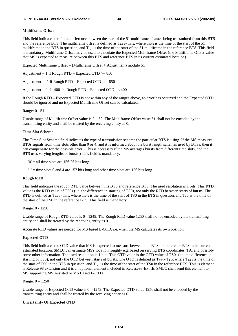#### **Multiframe Offset**

This field indicates the frame difference between the start of the 51 multiframes frames being transmitted from this BTS and the reference BTS. The multiframe offset is defined as  $T_{\text{RFS}}$  -  $T_{\text{Ref}}$ , where  $T_{\text{RTS}}$  is the time of the start of the 51 multiframe in the BTS in question, and  $T_{\text{Ref}}$  is the time of the start of the 51 multiframe in the reference BTS. This field is mandatory. Multiframe Offset may be used to calculate the Expected Multiframe Offset (the Multiframe Offset value that MS is expected to measure between this BTS and reference BTS in its current estimated location).

Expected Multiframe Offset = (Multiframe Offset + Adjustment) modulo  $51$ 

Adjustment = 1 if Rough RTD – Expected OTD  $>= 850$ 

Adjustment =  $-1$  if Rough RTD – Expected OTD =  $-850$ 

Adjustment =  $0$  if  $-400 =$ < Rough RTD – Expected OTD =<  $400$ 

If the Rough RTD – Expected OTD is not within any of the ranges above, an error has occurred and the Expected OTD should be ignored and no Expected Multiframe Offset can be calculated.

Range: 0 - 51

Usable range of Multiframe Offset value is  $0 - 50$ . The Multiframe Offset value 51 shall not be encoded by the transmitting entity and shall be treated by the receiving entity as 0.

#### **Time Slot Scheme**

The Time Slot Scheme field indicates the type of transmission scheme the particular BTS is using. If the MS measures BTSs signals from time slots other than 0 or 4, and it is informed about the burst length schemes used by BTSs, then it can compensate for the possible error. (This is necessary if the MS averages bursts from different time slots, and the BTS uses varying lengths of bursts.) This field is mandatory.

 $0'$  = all time slots are 156.25 bits long.

 $'1'$  = time slots 0 and 4 are 157 bits long and other time slots are 156 bits long.

#### **Rough RTD**

This field indicates the rough RTD value between this BTS and reference BTS. The used resolution is 1 bits. This RTD value is the RTD value of TS0s (i.e. the difference in starting of TS0), not only the RTD between starts of bursts. The RTD is defined as  $T_{BTS}$  -  $T_{Ref}$ , where  $T_{BTS}$  is the time of the start of TS0 in the BTS in question, and  $T_{Ref}$  is the time of the start of the TS0 in the reference BTS. This field is mandatory.

Range: 0 - 1250

Usable range of Rough RTD value is 0 - 1249. The Rough RTD value 1250 shall not be encoded by the transmitting entity and shall be treated by the receiving entity as 0.

Accurate RTD values are needed for MS based E-OTD, i.e. when the MS calculates its own position.

#### **Expected OTD**

This field indicates the OTD value that MS is expected to measure between this BTS and reference BTS in its current estimated location. SMLC can estimate MS's location roughly e.g. based on serving BTS coordinates, TA, and possibly some other information. The used resolution is 1 bits. This OTD value is the OTD value of TS0s (i.e. the difference in starting of TS0), not only the OTD between starts of bursts. The OTD is defined as  $T_{BTS}$ -  $T_{Ref}$ , where  $T_{BTS}$  is the time of the start of TS0 in the BTS in question, and  $T_{\text{Ref}}$  is the time of the start of the TS0 in the reference BTS. This is element is Release 98 extension and it is an optional element included in Release98-Ext IE. SMLC shall send this element to MS supporting MS Assisted or MS Based E-OTD.

Range: 0 – 1250

Usable range of Expected OTD value is  $0 - 1249$ . The Expected OTD value 1250 shall not be encoded by the transmitting entity and shall be treated by the receiving entity as 0.

#### **Uncertainty Of Expected OTD**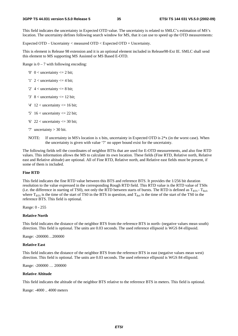This field indicates the uncertainty in Expected OTD value. The uncertainty is related to SMLC's estimation of MS's location. The uncertainty defines following search window for MS, that it can use to speed up the OTD measurements:

Expected OTD – Uncertainty < measured OTD < Expected OTD + Uncertainty.

This is element is Release 98 extension and it is an optional element included in Release98-Ext IE. SMLC shall send this element to MS supporting MS Assisted or MS Based E-OTD.

Range is  $0 - 7$  with following encoding:

- '0'  $0 <$  uncertainty  $\leq$  2 bit;
- '1'  $2 <$  uncertainty  $\leq$  4 bit;
- '2'  $4 <$  uncertainty  $\leq 8$  bit;
- '3'  $8 <$  uncertainty  $\leq 12$  bit;
- '4'  $12$  < uncertainty <= 16 bit;
- '5'  $16$  < uncertainty <= 22 bit;
- '6'  $22$  < uncertainty <= 30 bit;
- '7' uncertainty > 30 bit.
- NOTE: If uncertainty in MS's location is x bits, uncertainty in Expected OTD is  $2 \times x$  (in the worst case). When the uncertainty is given with value '7' no upper bound exist for the uncertainty.

The following fields tell the coordinates of neighbor BTSs that are used for E-OTD measurements, and also fine RTD values. This information allows the MS to calculate its own location. These fields (Fine RTD, Relative north, Relative east and Relative altitude) are optional. All of Fine RTD, Relative north, and Relative east fields must be present, if some of them is included.

#### **Fine RTD**

This field indicates the fine RTD value between this BTS and reference BTS. It provides the 1/256 bit duration resolution to the value expressed in the corresponding Rough RTD field. This RTD value is the RTD value of TS0s (i.e. the difference in starting of TS0), not only the RTD between starts of bursts. The RTD is defined as  $T_{BTS}$  -  $T_{Bef}$ , where  $T_{BTS}$  is the time of the start of TS0 in the BTS in question, and  $T_{Ref}$  is the time of the start of the TS0 in the reference BTS. This field is optional.

Range: 0 - 255

#### **Relative North**

This field indicates the distance of the neighbor BTS from the reference BTS in north- (negative values mean south) direction. This field is optional. The units are 0.03 seconds. The used reference ellipsoid is WGS 84 ellipsoid.

Range: -200000…200000

#### **Relative East**

This field indicates the distance of the neighbor BTS from the reference BTS in east (negative values mean west) direction. This field is optional. The units are 0.03 seconds. The used reference ellipsoid is WGS 84 ellipsoid.

Range: -200000 … 200000

#### **Relative Altitude**

This field indicates the altitude of the neighbor BTS relative to the reference BTS in meters. This field is optional.

Range: -4000 .. 4000 meters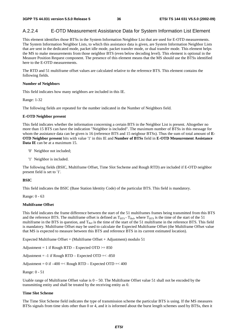### A.2.2.4 E-OTD Measurement Assistance Data for System Information List Element

This element identifies those BTSs in the System Information Neighbor List that are used for E-OTD measurements. The System Information Neighbor Lists, to which this assistance data is given, are System Information Neighbor Lists that are sent in the dedicated mode, packet idle mode, packet transfer mode, or dual transfer mode. This element helps the MS to make measurements from those neighbor BTS (even below decoding level). This element is optional in the Measure Position Request component. The presence of this element means that the MS should use the BTSs identified here to the E-OTD measurements.

The RTD and 51 multiframe offset values are calculated relative to the reference BTS. This element contains the following fields.

#### **Number of Neighbors**

This field indicates how many neighbors are included in this IE.

Range: 1-32

The following fields are repeated for the number indicated in the Number of Neighbors field.

#### **E-OTD Neighbor present**

This field indicates whether the information concerning a certain BTS in the Neighbor List is present. Altogether no more than 15 BTS can have the indication "Neighbor is included". The maximum number of BTSs in this message for whom the assistance data can be given is 16 (reference BTS and 15 neigbour BTSs). Thus the sum of total amount of **E-OTD Neighbor present** bits with value '1' in this IE and **Number of BTSs** field in **E-OTD Measurement Assistance Data IE** can be at a maximum 15.

- '0' Neighbor not included;
- '1' Neighbor is included.

The following fields (BSIC, Multiframe Offset, Time Slot Sscheme and Rough RTD) are included if E-OTD neighbor present field is set to '1'.

#### **BSIC**

This field indicates the BSIC (Base Station Identity Code) of the particular BTS. This field is mandatory.

Range: 0 - 63

#### **Multiframe Offset**

This field indicates the frame difference between the start of the 51 multiframes frames being transmitted from this BTS and the reference BTS. The multiframe offset is defined as  $T_{BTS}$  -  $T_{Ref}$ , where  $T_{BTS}$  is the time of the start of the 51 multiframe in the BTS in question, and  $T_{\text{Ref}}$  is the time of the start of the 51 multiframe in the reference BTS. This field is mandatory. Multiframe Offset may be used to calculate the Expected Multiframe Offset (the Multiframe Offset value that MS is expected to measure between this BTS and reference BTS in its current estimated location).

Expected Multiframe Offset = (Multiframe Offset + Adjustment) modulo 51

Adjustment = 1 if Rough RTD – Expected OTD  $>= 850$ 

Adjustment =  $-1$  if Rough RTD – Expected OTD =  $< -850$ 

Adjustment =  $0$  if  $-400 = <$  Rough RTD – Expected OTD =  $<$  400

Range: 0 - 51

Usable range of Multiframe Offset value is  $0 - 50$ . The Multiframe Offset value 51 shall not be encoded by the transmitting entity and shall be treated by the receiving entity as 0.

#### **Time Slot Scheme**

The Time Slot Scheme field indicates the type of transmission scheme the particular BTS is using. If the MS measures BTSs signals from time slots other than 0 or 4, and it is informed about the burst length schemes used by BTSs, then it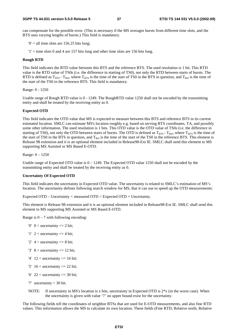can compensate for the possible error. (This is necessary if the MS averages bursts from different time slots, and the BTS uses varying lengths of bursts.) This field is mandatory.

 $0'$  = all time slots are 156.25 bits long;

 $'1'$  = time slots 0 and 4 are 157 bits long and other time slots are 156 bits long.

#### **Rough RTD**

This field indicates the RTD value between this BTS and the reference BTS. The used resolution is 1 bit. This RTD value is the RTD value of TS0s (i.e. the difference in starting of TS0), not only the RTD between starts of bursts. The RTD is defined as  $T_{BTS}$  -  $T_{Rcf}$ , where  $T_{BTS}$  is the time of the start of TS0 in the BTS in question, and  $T_{Rcf}$  is the time of the start of the TS0 in the reference BTS. This field is mandatory.

Range: 0 - 1250

Usable range of Rough RTD value is 0 - 1249. The RoughRTD value 1250 shall not be encoded by the transmitting entity and shall be treated by the receiving entity as 0.

#### **Expected OTD**

This field indicates the OTD value that MS is expected to measure between this BTS and reference BTS in its current estimated location. SMLC can estimate MS's location roughly e.g. based on serving BTS coordinates, TA, and possibly some other information. The used resolution is 1 bits. This OTD value is the OTD value of TS0s (i.e. the difference in starting of TS0), not only the OTD between starts of bursts. The OTD is defined as  $T_{BTS}$ -  $T_{Ref}$ , where  $T_{BTS}$  is the time of the start of TS0 in the BTS in question, and  $T_{Ref}$  is the time of the start of the TS0 in the reference BTS. This element is Release 98 extension and it is an optional element included in Release98-Ext IE. SMLC shall send this element to MS supporting MS Assisted or MS Based E-OTD.

Range: 0 – 1250

Usable range of Expected OTD value is 0 – 1249. The Expected OTD value 1250 shall not be encoded by the transmitting entity and shall be treated by the receiving entity as 0.

#### **Uncertainty Of Expected OTD**

This field indicates the uncertainty in Expected OTD value. The uncertainty is related to SMLC's estimation of MS's location. The uncertainty defines following search window for MS, that it can use to speed up the OTD measurements:

Expected OTD – Uncertainty < measured OTD < Expected OTD + Uncertainty.

This element is Release 98 extension and it is an optional element included in Release98-Ext IE. SMLC shall send this element to MS supporting MS Assisted or MS Based E-OTD.

Range is  $0 - 7$  with following encoding:

- '0'  $0 <$  uncertainty  $\leq$  2 bit;
- '1'  $2 <$  uncertainty  $\leq$  4 bit;
- '2'  $4 <$  uncertainty  $\leq$  8 bit;
- '3'  $8 <$  uncertainty  $\leq$  12 bit;
- '4'  $12$  < uncertainty <= 16 bit;
- '5'  $16$  < uncertainty <= 22 bit;
- '6'  $22$  < uncertainty <= 30 bit;
- '7' uncertainty > 30 bit.
- NOTE: If uncertainty in MS's location is x bits, uncertainty in Expected OTD is  $2 \times x$  (in the worst case). When the uncertainty is given with value '7' no upper bound exist for the uncertainty.

The following fields tell the coordinates of neighbor BTSs that are used for E-OTD measurements, and also fine RTD values. This information allows the MS to calculate its own location. These fields (Fine RTD, Relative north, Relative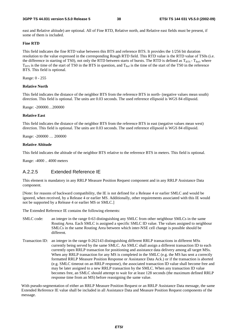#### **3GPP TS 44.031 version 5.5.0 Release 5 38 ETSI TS 144 031 V5.5.0 (2002-09)**

east and Relative altitude) are optional. All of Fine RTD, Relative north, and Relative east fields must be present, if some of them is included.

#### **Fine RTD**

This field indicates the fine RTD value between this BTS and reference BTS. It provides the 1/256 bit duration resolution to the value expressed in the corresponding Rough RTD field. This RTD value is the RTD value of TS0s (i.e. the difference in starting of TS0), not only the RTD between starts of bursts. The RTD is defined as  $T_{BTS}$  -  $T_{Ref}$ , where  $T_{\text{BTS}}$  is the time of the start of TS0 in the BTS in question, and  $T_{\text{Ref}}$  is the time of the start of the TS0 in the reference BTS. This field is optional.

Range: 0 - 255

#### **Relative North**

This field indicates the distance of the neighbor BTS from the reference BTS in north- (negative values mean south) direction. This field is optional. The units are 0.03 seconds. The used reference ellipsoid is WGS 84 ellipsoid.

Range: -200000…200000

#### **Relative East**

This field indicates the distance of the neighbor BTS from the reference BTS in east (negative values mean west) direction. This field is optional. The units are 0.03 seconds. The used reference ellipsoid is WGS 84 ellipsoid.

Range: -200000 … 200000

#### **Relative Altitude**

This field indicates the altitude of the neighbor BTS relative to the reference BTS in meters. This field is optional.

Range: -4000 .. 4000 meters

### A.2.2.5 Extended Reference IE

This element is mandatory in any RRLP Measure Position Request component and in any RRLP Assistance Data component.

[Note: for reasons of backward compatibility, the IE is not defined for a Release 4 or earlier SMLC and would be ignored, when received, by a Release 4 or earlier MS. Additionally, other requirements associated with this IE would not be supported by a Release 4 or earlier MS or SMLC.]

The Extended Reference IE contains the following elements:

- SMLC code: an integer in the range 0-63 distinguishing any SMLC from other neighbour SMLCs in the same Routing Area. Each SMLC is assigned a specific SMLC ID value. The values assigned to neighbour SMLCs in the same Routing Area between which inter-NSE cell change is possible should be different.
- Transaction ID: an integer in the range 0-262143 distinguishing different RRLP transactions in different MSs currently being served by the same SMLC. An SMLC shall assign a different transaction ID to each currently open RRLP transaction for positioning and assistance data delivery among all target MSs. When any RRLP transaction for any MS is completed in the SMLC (e.g. the MS has sent a correctly formatted RRLP Measure Position Response or Assistance Data Ack.) or if the transaction is aborted (e.g. SMLC timeout on an RRLP response), the associated transaction ID value shall become free and may be later assigned to a new RRLP transaction by the SMLC. When any transaction ID value becomes free, an SMLC should attempt to wait for at least 128 seconds (the maximum defined RRLP response time from an MS) before reassigning the same value.

With pseudo-segmentation of either an RRLP Measure Position Request or an RRLP Assistance Data message, the same Extended Reference IE value shall be included in all Assistance Data and Measure Position Request components of the message.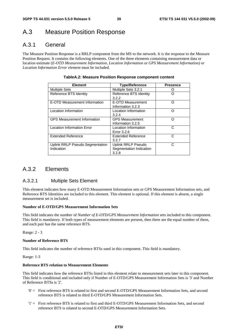## A.3 Measure Position Response

## A.3.1 General

The Measure Position Response is a RRLP component from the MS to the network. It is the response to the Measure Position Request. It contains the following elements. One of the three elements containing measurement data or location estimate (*E-OTD Measurement Information*, *Location Information* or *GPS Measurement Information)* or *Location Information Error element* must be included.

| <b>Element</b>                                | <b>Type/Reference</b>                                  | <b>Presence</b> |
|-----------------------------------------------|--------------------------------------------------------|-----------------|
| <b>Multiple Sets</b>                          | Multiple Sets 3.2.1                                    |                 |
| Reference BTS Identity                        | Reference BTS Identity<br>3.2.2                        |                 |
| E-OTD Measurement Information                 | E-OTD Measurement<br>Information 3.2.3                 | Ω               |
| Location Information                          | Location Information<br>3.2.4                          | ∩               |
| <b>GPS Measurement Information</b>            | <b>GPS Measurement</b><br>Information 3.2.5            | Ω               |
| <b>Location Information Error</b>             | Location Information<br>Error 3.2.6                    | C               |
| <b>Extended Reference</b>                     | <b>Extended Reference</b><br>3.2.7                     | C               |
| Uplink RRLP Pseudo Segmentation<br>Indication | Uplink RRLP Pseudo<br>Segmentation Indication<br>3.2.8 | C               |

#### **TableA.2: Measure Position Response component content**

## A.3.2 Elements

### A.3.2.1 Multiple Sets Element

This element indicates how many E-OTD Measurement Information sets or GPS Measurement Information sets, and Reference BTS Identities are included to this element. This element is optional. If this element is absent, a single measurement set is included.

#### **Number of E-OTD/GPS Measurement Information Sets**

This field indicates the number of *Number of E-OTD/GPS Measurement Information* sets included to this component. This field is mandatory. If both types of measurement elements are present, then there are the equal number of them, and each pair has the same reference BTS.

Range: 2 - 3

#### **Number of Reference BTS**

This field indicates the number of reference BTSs used in this component. This field is mandatory.

Range: 1-3

#### **Reference BTS relation to Measurement Elements**

This field indicates how the reference BTSs listed in this element relate to measurement sets later in this component. This field is conditional and included only if Number of E-OTD/GPS Measurement Information Sets is '3' and Number of Reference BTSs is '2'.

- '0' = First reference BTS is related to first and second E-OTD/GPS Measurement Information Sets, and second reference BTS is related to third E-OTD/GPS Measurement Information Sets.
- '1' = First reference BTS is related to first and third E-OTD/GPS Measurement Information Sets, and second reference BTS is related to second E-OTD/GPS Measurement Information Sets.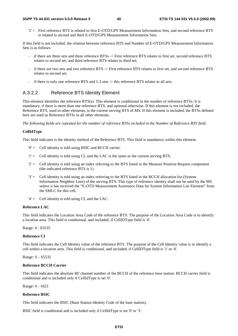'2' = First reference BTS is related to first E-OTD/GPS Measurement Information Sets, and second reference BTS is related to second and third E-OTD/GPS Measurement Information Sets.

If this field is not included, the relation between reference BTS and Number of E-OTD/GPS Measurement Information Sets is as follows:

- if there are three sets and three reference BTSs -> First reference BTS relates to first set, second reference BTS relates to second set, and third reference BTS relates to third set;
- if there are two sets and two reference BTS -> First reference BTS relates to first set, and second reference BTS relates to second set;
- if there is only one reference BTS and 1-3 sets -> this reference BTS relates to all sets.

### A.3.2.2 Reference BTS Identity Element

This element identifies the reference BTS(s). This element is conditional to the number of reference BTSs. It is mandatory, if there is more than one reference BTS, and optional otherwise. If this element is not included, the Reference BTS, used in other elements, is the current serving BTS of MS. If this element is included, the BTSs defined here are used as Reference BTSs in all other elements.

*The following fields are repeated for the number of reference BTSs included in the Number of Reference BTS field.*

#### **CellIdType**

This field indicates is the identity method of the Reference BTS. This field is mandatory within this element.

- '0' = Cell identity is told using BSIC and BCCH carrier.
- '1' = Cell identity is told using CI, and the LAC is the same as the current serving BTS.
- $2'$  = Cell identity is told using an index referring to the BTS listed in the Measure Position Request component (the indicated reference BTS is 1)
- '3' = Cell identity is told using an index referring to the BTS listed in the BCCH allocation list (System Information Neighbor Lists) of the serving BTS. This type of reference identity shall not be used by the MS unless it has received the "E-OTD Measurement Assistance Data for System Information List Element" from the SMLC for this cell.
- $'4' =$  Cell identity is told using CI, and the LAC.

#### **Reference LAC**

This field indicates the Location Area Code of the reference BTS. The purpose of the Location Area Code is to identify a location area. This field is conditional, and included, if CellIDType field is '4'.

Range: 0 - 65535

#### **Reference CI**

This field indicates the Cell Identity value of the reference BTS. The purpose of the Cell Identity value is to identify a cell within a location area. This field is conditional, and included, if CellIDType field is '1' or '4'.

Range: 0 – 65535

#### **Reference BCCH Carrier**

This field indicates the absolute RF channel number of the BCCH of the reference base station. BCCH carrier field is conditional and is included only if CellIdType is set '0'.

Range: 0 - 1023

#### **Reference BSIC**

This field indicates the BSIC (Base Station Identity Code of the base station).

BSIC field is conditional and is included only if CellIdType is set '0' or '3'.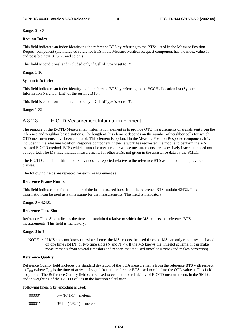Range: 0 - 63

#### **Request Index**

This field indicates an index identifying the reference BTS by referring to the BTSs listed in the Measure Position Request component (the indicated reference BTS in the Measure Position Request component has the index value 1, and possible next BTS '2', and so on )

This field is conditional and included only if CellIdType is set to '2'.

#### Range: 1-16

#### **System Info Index**

This field indicates an index identifying the reference BTS by referring to the BCCH allocation list (System Information Neighbor List) of the serving BTS .

This field is conditional and included only if CellIdType is set to '3'.

Range: 1-32

### A.3.2.3 E-OTD Measurement Information Element

The purpose of the E-OTD Measurement Information element is to provide OTD measurements of signals sent from the reference and neighbor based stations. The length of this element depends on the number of neighbor cells for which OTD measurements have been collected. This element is optional in the Measure Position Response component. It is included in the Measure Position Response component, if the network has requested the mobile to perform the MS assisted E-OTD method. BTSs which cannot be measured or whose measurements are excessively inaccurate need not be reported. The MS may include measurements for other BTSs not given in the assistance data by the SMLC.

The E-OTD and 51 multiframe offset values are reported relative to the reference BTS as defined in the previous clauses.

The following fields are repeated for each measurement set.

#### **Reference Frame Number**

This field indicates the frame number of the last measured burst from the reference BTS modulo 42432. This information can be used as a time stamp for the measurements. This field is mandatory.

Range: 0 – 42431

#### **Reference Time Slot**

Reference Time Slot indicates the time slot modulo 4 relative to which the MS reports the reference BTS measurements. This field is mandatory.

Range: 0 to 3

NOTE 1: If MS does not know timeslot scheme, the MS reports the used timeslot. MS can only report results based on one time slot  $(N)$  or two time slots  $(N \text{ and } N+4)$ . If the MS knows the timeslot scheme, it can make measurements from several timeslots and reports that the used timeslot is zero (and makes correction).

#### **Reference Quality**

Reference Quality field includes the standard deviation of the TOA measurements from the reference BTS with respect to  $T_{Ref}$  (where  $T_{Ref}$  is the time of arrival of signal from the reference BTS used to calculate the OTD values). This field is optional. The Reference Quality field can be used to evaluate the reliability of E-OTD measurements in the SMLC and in weighting of the E-OTD values in the location calculation.

Following linear 5 bit encoding is used:

| '00000' | $0 - (R*1-1)$ meters;   |  |
|---------|-------------------------|--|
| '00001' | $R*1 - (R*2-1)$ meters; |  |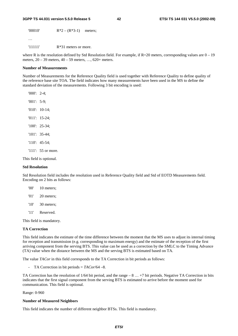'00010' R\*2 – (R\*3-1) meters;

…

'11111' R\*31 meters or more.

where R is the resolution defined by Std Resolution field. For example, if  $R=20$  meters, corresponding values are  $0-19$ meters, 20 – 39 meters, 40 – 59 meters, …, 620+ meters.

#### **Number of Measurements**

Number of Measurements for the Reference Quality field is used together with Reference Quality to define quality of the reference base site TOA. The field indicates how many measurements have been used in the MS to define the standard deviation of the measurements. Following 3 bit encoding is used:

'000': 2-4; '001': 5-9; '010': 10-14; '011': 15-24; '100': 25-34; '101': 35-44; '110': 45-54; '111': 55 or more.

This field is optional.

#### **Std Resolution**

Std Resolution field includes the resolution used in Reference Quality field and Std of EOTD Measurements field. Encoding on 2 bits as follows:

| '00' | 10 meters; |
|------|------------|
| 01'  | 20 meters; |
| '10' | 30 meters; |
| '11' | Reserved.  |

This field is mandatory.

#### **TA Correction**

This field indicates the estimate of the time difference between the moment that the MS uses to adjust its internal timing for reception and transmission (e.g. corresponding to maximum energy) and the estimate of the reception of the first arriving component from the serving BTS. This value can be used as a correction by the SMLC to the Timing Advance (TA) value when the distance between the MS and the serving BTS is estimated based on TA.

The value *TACor* in this field corresponds to the TA Correction in bit periods as follows:

- TA Correction in bit periods = *TACor*/64 –8.

TA Correction has the resolution of 1/64 bit period, and the range – 8 … +7 bit periods. Negative TA Correction in bits indicates that the first signal component from the serving BTS is estimated to arrive before the moment used for communication. This field is optional.

Range: 0-960

#### **Number of Measured Neighbors**

This field indicates the number of different neighbor BTSs. This field is mandatory.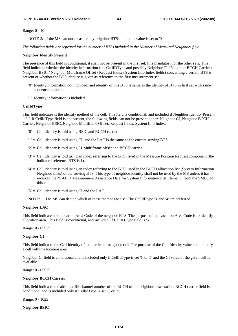Range: 0 - 10

NOTE 2: If the MS can not measure any neighbor BTSs, then this value is set to '0'.

*The following fields are repeated for the number of BTSs included in the Number of Measured Neighbors field.*

#### **Neighbor Identity Present**

The presence of this field is conditional, it shall not be present in the first set. It is mandatory for the other sets. This field indicates whether the identity information (i.e. CellIDType and possibly Neighbor CI / Neighbor BCCH Carrier / Neighbor BSIC / Neighbor Multiframe Offset / Request Index / System Info Index fields) concerning a certain BTS is present or whether the BTS identity is given as reference to the first measurement set.

- '0' Identity information not included, and identity of this BTS is same as the identity of BTS in first set with same sequence number.
- '1' Identity information is included.

#### **CellIdType**

This field indicates is the identity method of the cell. This field is conditional, and included if Neighbor Identity Present is '1'**.** If CellIdType field is not present, the following fields can not be present either: Neighbor CI, Neighbor BCCH Carrier, Neighbor BSIC, Neighbor Multiframe Offset, Request Index, System Info Index.

- '0' = Cell identity is told using BSIC and BCCH carrier.
- '1' = Cell identity is told using CI, and the LAC is the same as the current serving BTS.
- $2'$  = Cell identity is told using 51 Multiframe offset and BCCH carrier.
- '3' = Cell identity is told using an index referring to the BTS listed in the Measure Position Request component (the indicated reference BTS is 1).
- '4' = Cell identity is told using an index referring to the BTS listed in the BCCH allocation list (System Information Neighbor Lists) of the serving BTS. This type of neighbor identity shall not be used by the MS unless it has received the "E-OTD Measurement Assistance Data for System Information List Element" from the SMLC for this cell.
- '5' = Cell identity is told using CI and the LAC.

NOTE: The MS can decide which of these methods to use. The CellIdType '3' and '4' are preferred.

#### **Neighbor LAC**

This field indicates the Location Area Code of the neighbor BTS. The purpose of the Location Area Code is to identify a location area. This field is conditional, and included, if CellIDType field is '5'.

Range: 0 - 65535

#### **Neighbor CI**

This field indicates the Cell Identity of the particular neighbor cell. The purpose of the Cell Identity value is to identify a cell within a location area.

Neighbor CI field is conditional and is included only if CellIdType is set '1' or '5' and the CI value of the given cell is available.

Range: 0 - 65535

#### **Neighbor BCCH Carrier**

This field indicates the absolute RF channel number of the BCCH of the neighbor base station. BCCH carrier field is conditional and is included only if CellIdType is set '0' or '2'.

Range: 0 - 1023

**Neighbor BSIC**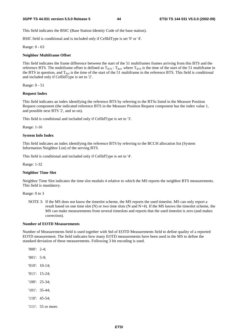This field indicates the BSIC (Base Station Identity Code of the base station).

BSIC field is conditional and is included only if CellIdType is set '0' or '4'.

Range: 0 - 63

#### **Neighbor Multiframe Offset**

This field indicates the frame difference between the start of the 51 multiframes frames arriving from this BTS and the reference BTS. The multiframe offset is defined as  $T_{\text{RTS}}$  -  $T_{\text{Ref}}$ , where  $T_{\text{RTS}}$  is the time of the start of the 51 multiframe in the BTS in question, and  $T_{Ref}$  is the time of the start of the 51 multiframe in the reference BTS. This field is conditional and included only if CellIdType is set to '2'.

Range: 0 - 51

#### **Request Index**

This field indicates an index identifying the reference BTS by referring to the BTSs listed in the Measure Position Request component (the indicated reference BTS in the Measure Position Request component has the index value 1, and possible next BTS '2', and so on).

This field is conditional and included only if CellIdType is set to '3'.

Range: 1-16

#### **System Info Index**

This field indicates an index identifying the reference BTS by referring to the BCCH allocation list (System Information Neighbor List) of the serving BTS.

This field is conditional and included only if CellIdType is set to '4'.

#### Range: 1-32

#### **Neighbor Time Slot**

Neighbor Time Slot indicates the time slot modulo 4 relative to which the MS reports the neighbor BTS measurements. This field is mandatory.

Range: 0 to 3

NOTE 3: If the MS does not know the timeslot scheme, the MS reports the used timeslot. MS can only report a result based on one time slot (N) or two time slots (N and N+4). If the MS knows the timeslot scheme, the MS can make measurements from several timeslots and reports that the used timeslot is zero (and makes correction).

#### **Number of EOTD Measurements**

Number of Measurements field is used together with Std of EOTD Measurements field to define quality of a reported EOTD measurement. The field indicates how many EOTD measurements have been used in the MS to define the standard deviation of these measurements. Following 3 bit encoding is used.

'000': 2-4;

'001': 5-9;

- '010': 10-14;
- '011': 15-24;
- '100': 25-34;
- '101': 35-44;
- '110': 45-54;
- '111': 55 or more.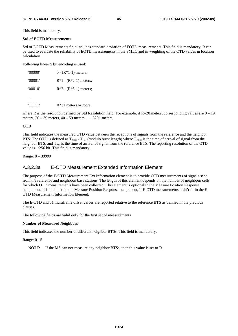This field is mandatory.

#### **Std of EOTD Measurements**

Std of EOTD Measurements field includes standard deviation of EOTD measurements. This field is mandatory. It can be used to evaluate the reliability of EOTD measurements in the SMLC and in weighting of the OTD values in location calculation.

Following linear 5 bit encoding is used:

| '00000' | $0 - (R*1-1)$ meters;   |
|---------|-------------------------|
| '00001' | $R*1 - (R*2-1)$ meters; |
| '00010' | $R*2 - (R*3-1)$ meters; |
|         |                         |
| '11111' | $R*31$ meters or more.  |

where R is the resolution defined by Std Resolution field. For example, if  $R=20$  meters, corresponding values are  $0-19$ meters, 20 – 39 meters, 40 – 59 meters, …, 620+ meters.

#### **OTD**

This field indicates the measured OTD value between the receptions of signals from the reference and the neighbor BTS. The OTD is defined as  $T_{Nbor}$  -  $T_{Ref}$  (modulo burst length) where  $T_{Nbor}$  is the time of arrival of signal from the neighbor BTS, and  $T_{Ref}$  is the time of arrival of signal from the reference BTS. The reporting resolution of the OTD value is 1/256 bit. This field is mandatory.

Range: 0 – 39999

### A.3.2.3a E-OTD Measurement Extended Information Element

The purpose of the E-OTD Measurement Ext Information element is to provide OTD measurements of signals sent from the reference and neighbour base stations. The length of this element depends on the number of neighbour cells for which OTD measurements have been collected. This element is optional in the Measure Position Response component. It is included in the Measure Position Response component, if E-OTD measurements didn't fit in the E-OTD Measurement Information Element.

The E-OTD and 51 multiframe offset values are reported relative to the reference BTS as defined in the previous clauses.

The following fields are valid only for the first set of measurements

#### **Number of Measured Neighbors**

This field indicates the number of different neighbor BTSs. This field is mandatory.

Range: 0 - 5

NOTE: If the MS can not measure any neighbor BTSs, then this value is set to '0'.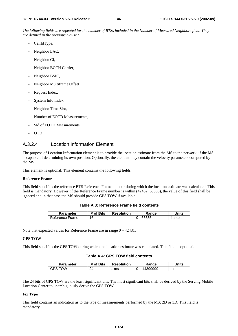*The following fields are repeated for the number of BTSs included in the Number of Measured Neighbors field. They are defined in the previous clause :*

- CellIdType,
- Neighbor LAC,
- Neighbor CI,
- Neighbor BCCH Carrier,
- Neighbor BSIC,
- Neighbor Multiframe Offset,
- Request Index,
- System Info Index,
- Neighbor Time Slot,
- Number of EOTD Measurements,
- Std of EOTD Measurements,
- OTD

### A.3.2.4 Location Information Element

The purpose of Location Information element is to provide the location estimate from the MS to the network, if the MS is capable of determining its own position. Optionally, the element may contain the velocity parameters computed by the MS.

This element is optional. This element contains the following fields.

#### **Reference Frame**

This field specifies the reference BTS Reference Frame number during which the location estimate was calculated. This field is mandatory. However, if the Reference Frame number is within (42432..65535), the value of this field shall be ignored and in that case the MS should provide GPS TOW if available.

| Table A.3: Reference Frame field contents |
|-------------------------------------------|
|-------------------------------------------|

| Parameter       | <sup>+</sup> of Bits | <b>Resolution</b> | Range | Units  |
|-----------------|----------------------|-------------------|-------|--------|
| Reference Frame | 16                   | $--$              | 65535 | trames |

Note that expected values for Reference Frame are in range 0 – 42431.

#### **GPS TOW**

This field specifies the GPS TOW during which the location estimate was calculated. This field is optional.

|  |  |  |  |  |  | Table A.4: GPS TOW field contents |
|--|--|--|--|--|--|-----------------------------------|
|--|--|--|--|--|--|-----------------------------------|

| Parameter | # of Bits  | <b>Resolution</b> | Ranqe    | Units |
|-----------|------------|-------------------|----------|-------|
| Ж<br>GPS. | ົາ∧<br>- 1 | ms                | 14399999 | ms    |

The 24 bits of GPS TOW are the least significant bits. The most significant bits shall be derived by the Serving Mobile Location Center to unambiguously derive the GPS TOW.

#### **Fix Type**

This field contains an indication as to the type of measurements performed by the MS: 2D or 3D. This field is mandatory.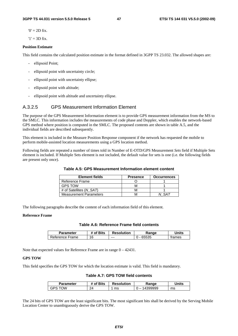$'0' = 2D$  fix.

 $'1' = 3D$  fix.

#### **Position Estimate**

This field contains the calculated position estimate in the format defined in 3GPP TS 23.032. The allowed shapes are:

- ellipsoid Point;
- ellipsoid point with uncertainty circle;
- ellipsoid point with uncertainty ellipse;
- ellipsoid point with altitude;
- ellipsoid point with altitude and uncertainty ellipse.

#### A.3.2.5 GPS Measurement Information Element

The purpose of the GPS Measurement Information element is to provide GPS measurement information from the MS to the SMLC. This information includes the measurements of code phase and Doppler, which enables the network-based GPS method where position is computed in the SMLC. The proposed contents are shown in table A.5, and the individual fields are described subsequently.

This element is included in the Measure Position Response component if the network has requested the mobile to perform mobile-assisted location measurements using a GPS location method.

Following fields are repeated a number of times told in Number of E-OTD/GPS Measurement *Sets* field if Multiple Sets element is included. If Multiple Sets element is not included, the default value for sets is one (i.e. the following fields are present only once).

| Table A.5: GPS Measurement Information element content |  |
|--------------------------------------------------------|--|
|--------------------------------------------------------|--|

| <b>Element fields</b>         | <b>Presence</b> | <b>Occurrences</b> |
|-------------------------------|-----------------|--------------------|
| Reference Frame               |                 |                    |
| <b>GPS TOW</b>                | M               |                    |
| # of Satellites (N SAT)       | M               |                    |
| <b>Measurement Parameters</b> |                 |                    |

The following paragraphs describe the content of each information field of this element.

#### **Reference Frame**

#### **Table A.6: Reference Frame field contents**

| Parameter       | # of Bits | <b>Resolution</b> | Ranqe | Units  |
|-----------------|-----------|-------------------|-------|--------|
| Reference Frame | 16<br>╰   | $- - -$           | 65535 | trames |

Note that expected values for Reference Frame are in range 0 – 42431.

#### **GPS TOW**

This field specifies the GPS TOW for which the location estimate is valid. This field is mandatory.

|  |  |  |  |  |  | Table A.7: GPS TOW field contents |
|--|--|--|--|--|--|-----------------------------------|
|--|--|--|--|--|--|-----------------------------------|

| <b>Parameter</b> | # of Bits      | <b>Resolution</b> | Range        | Units |
|------------------|----------------|-------------------|--------------|-------|
| M∩∵<br>GPS       | クイ<br>_<br>- 1 | ms                | 4399999<br>. | ms    |

The 24 bits of GPS TOW are the least significant bits. The most significant bits shall be derived by the Serving Mobile Location Center to unambiguously derive the GPS TOW.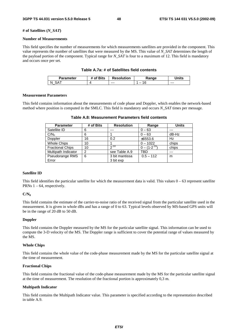#### **# of Satellites (***N\_SAT***)**

#### **Number of Measurements**

This field specifies the number of measurements for which measurements satellites are provided in the component. This value represents the number of satellites that were measured by the MS. This value of *N\_SAT* determines the length of the payload portion of the component. Typical range for *N\_SAT* is four to a maximum of 12. This field is mandatory and occurs once per set.

#### **Table A.7a: # of Satellites field contents**

| Parameter | f Bits * | <b>Resolution</b> | Range | `Inits  |
|-----------|----------|-------------------|-------|---------|
| N         |          | $- - -$           | Ö     | $- - -$ |

#### **Measurement Parameters**

This field contains information about the measurements of code phase and Doppler, which enables the network-based method where position is computed in the SMLC. This field is mandatory and occurs *N\_SAT* times per message.

| <b>Parameter</b>        | # of Bits | <b>Resolution</b> | Range               | <b>Units</b> |
|-------------------------|-----------|-------------------|---------------------|--------------|
| Satellite ID            | 6         | ---               | $0 - 63$            | $---$        |
| C/N <sub>o</sub>        | 6         |                   | $0 - 63$            | dB-Hz        |
| Doppler                 | 16        | 0.2               | ±6553.6             | Hz           |
| <b>Whole Chips</b>      | 10        |                   | $0 - 1022$          | chips        |
| <b>Fractional Chips</b> | 10        | $2^{-10}$         | $0 - (1 - 2^{-10})$ | chips        |
| Multipath Indicator     | 2         | see Table A.9     | TBD                 | $- - -$      |
| Pseudorange RMS         | 6         | 3 bit mantissa    | $0.5 - 112$         | m            |
| Error                   |           | 3 bit exp         |                     |              |

#### **Table A.8: Measurement Parameters field contents**

#### **Satellite ID**

This field identifies the particular satellite for which the measurement data is valid. This values  $0 - 63$  represent satellite PRNs  $1 - 64$ , respectively.

#### **C/N0**

This field contains the estimate of the carrier-to-noise ratio of the received signal from the particular satellite used in the measurement. It is given in whole dBs and has a range of 0 to 63. Typical levels observed by MS-based GPS units will be in the range of 20 dB to 50 dB.

#### **Doppler**

This field contains the Doppler measured by the MS for the particular satellite signal. This information can be used to compute the 3-D velocity of the MS. The Doppler range is sufficient to cover the potential range of values measured by the MS.

#### **Whole Chips**

This field contains the whole value of the code-phase measurement made by the MS for the particular satellite signal at the time of measurement.

#### **Fractional Chips**

This field contains the fractional value of the code-phase measurement made by the MS for the particular satellite signal at the time of measurement. The resolution of the fractional portion is approximately 0,3 m.

#### **Multipath Indicator**

This field contains the Multipath Indicator value. This parameter is specified according to the representation described in table A.9.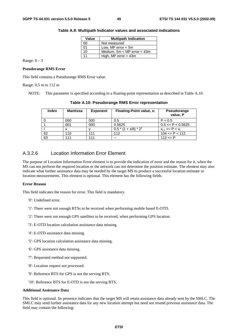| Value | <b>Multipath Indication</b>     |
|-------|---------------------------------|
| 00    | Not measured                    |
| 01    | Low, MP error $<$ 5m            |
| 10    | Medium, $5m < MP$ error $<$ 43m |
| 11    | High, MP error > 43m            |

| Table A.9: Multipath Indicator values and associated indications |  |  |
|------------------------------------------------------------------|--|--|
|------------------------------------------------------------------|--|--|

Range:  $0 - 3$ 

#### **Pseudorange RMS Error**

This field contains a Pseudorange RMS Error value.

#### Range:  $0,5$  m to

NOTE: This parameter is specified according to a floating-point representation as described in Table A.10.

| , 112 m |                 |                 |                                                                                               |                         |
|---------|-----------------|-----------------|-----------------------------------------------------------------------------------------------|-------------------------|
|         |                 |                 | his parameter is specified according to a floating-point representation as described in Table |                         |
|         |                 |                 | Table A.10: Pseudorange RMS Error representation                                              |                         |
| Index   | <b>Mantissa</b> | <b>Exponent</b> | Floating-Point value, x <sub>i</sub>                                                          | Pseudorange<br>value, P |

| index | Mantissa | Exponent | <b>Floating-Point value, Xi</b> | <b>Pseudorange</b><br>value. P |
|-------|----------|----------|---------------------------------|--------------------------------|
|       | 000      | 000      | 0.5                             | P < 0.5                        |
|       | 001      | 000      | 0.5625                          | $0.5 \leq P \leq 0.5625$       |
|       |          |          | $0.5*(1 + x/8)*2^y$             | $x_{i-1}$ <= P < $x_i$         |
| 62    | 110      | 111      | 112                             | $104 \leq P \leq 112$          |
| 63    | 111      | 111      | $- -$                           | $112 \le P$                    |

#### A.3.2.6 Location Information Error Element

The purpose of Location Information Error element is to provide the indication of error and the reason for it, when the MS can not perform the required location or the network can not determine the position estimate. The element may also indicate what further assistance data may be needed by the target MS to produce a successful location estimate or location measurements. This element is optional. This element has the following fields.

#### **Error Reason**

This field indicates the reason for error. This field is mandatory.

- '0': Undefined error.
- '1': There were not enough BTSs to be received when performing mobile based E-OTD.
- '2': There were not enough GPS satellites to be received, when performing GPS location.
- '3': E-OTD location calculation assistance data missing.
- '4': E-OTD assistance data missing.
- '5': GPS location calculation assistance data missing.
- '6': GPS assistance data missing.
- '7': Requested method not supported.
- '8': Location request not processed.
- '9': Reference BTS for GPS is not the serving BTS.
- '10': Reference BTS for E-OTD is not the serving BTS.

#### **Additional Assistance Data**

This field is optional. Its presence indicates that the target MS will retain assistance data already sent by the SMLC. The SMLC may send further assistance data for any new location attempt but need not resend previous assistance data. The field may contain the following: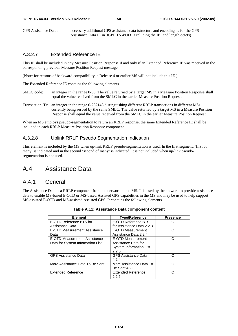GPS Assistance Data: necessary additional GPS assistance data (structure and encoding as for the GPS Assistance Data IE in 3GPP TS 49.031 excluding the IEI and length octets)

#### A.3.2.7 Extended Reference IE

This IE shall be included in any Measure Position Response if and only if an Extended Reference IE was received in the corresponding previous Measure Position Request message.

[Note: for reasons of backward compatibility, a Release 4 or earlier MS will not include this IE.]

The Extended Reference IE contains the following elements.

- SMLC code: an integer in the range 0-63. The value returned by a target MS in a Measure Position Response shall equal the value received from the SMLC in the earlier Measure Position Request.
- Transaction ID: an integer in the range 0-262143 distinguishing different RRLP transactions in different MSs currently being served by the same SMLC. The value returned by a target MS in a Measure Position Response shall equal the value received from the SMLC in the earlier Measure Position Request.

When an MS employs pseudo-segmentation to return an RRLP response, the same Extended Reference IE shall be included in each RRLP Measure Position Response component.

### A.3.2.8 Uplink RRLP Pseudo Segmentation Indication

This element is included by the MS when up-link RRLP pseudo-segmentation is used. In the first segment, 'first of many' is indicated and in the second 'second of many' is indicated. It is not included when up-link pseudosegmentation is not used.

## A.4 Assistance Data

### A.4.1 General

The Assistance Data is a RRLP component from the network to the MS. It is used by the network to provide assistance data to enable MS-based E-OTD or MS-based Assisted GPS capabilities in the MS and may be used to help support MS-assisted E-OTD and MS-assisted Assisted GPS. It contains the following elements.

| <b>Element</b>                   | <b>Type/Reference</b>          | <b>Presence</b> |
|----------------------------------|--------------------------------|-----------------|
| E-OTD Reference BTS for          | E-OTD Reference BTS            | C               |
| Assistance Data                  | for Assistance Data 2.2.3      |                 |
| E-OTD Measurement Assistance     | E-OTD Measurement              | C               |
| Data                             | Assistance Data 2.2.4          |                 |
| E-OTD Measurement Assistance     | E-OTD Measurement              | C               |
| Data for System Information List | Assistance Data for            |                 |
|                                  | <b>System Information List</b> |                 |
|                                  | 2.2.5                          |                 |
| <b>GPS Assistance Data</b>       | <b>GPS Assistance Data</b>     | C               |
|                                  | 4.2.4                          |                 |
| More Assistance Data To Be Sent  | More Assistance Data To        | C.              |
|                                  | <b>Be Sent 4.2.5</b>           |                 |
| <b>Extended Reference</b>        | <b>Extended Reference</b>      | C.              |
|                                  | 2.2.5                          |                 |

|  | Table A.11: Assistance Data component content |  |  |
|--|-----------------------------------------------|--|--|
|  |                                               |  |  |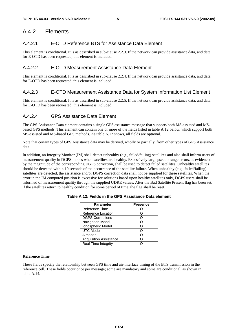## A.4.2 Elements

### A.4.2.1 E-OTD Reference BTS for Assistance Data Element

This element is conditional. It is as described in sub-clause 2.2.3. If the network can provide assistance data, and data for E-OTD has been requested, this element is included.

### A.4.2.2 E-OTD Measurement Assistance Data Element

This element is conditional. It is as described in sub-clause 2.2.4. If the network can provide assistance data, and data for E-OTD has been requested, this element is included.

### A.4.2.3 E-OTD Measurement Assistance Data for System Information List Element

This element is conditional. It is as described in sub-clause 2.2.5. If the network can provide assistance data, and data for E-OTD has been requested, this element is included.

### A.4.2.4 GPS Assistance Data Element

The GPS Assistance Data element contains a single GPS assistance message that supports both MS-assisted and MSbased GPS methods. This element can contain one or more of the fields listed in table A.12 below, which support both MS-assisted and MS-based GPS methods. As table A.12 shows, all fields are optional.

Note that certain types of GPS Assistance data may be derived, wholly or partially, from other types of GPS Assistance data.

In addition, an Integrity Monitor (IM) shall detect unhealthy (e.g., failed/failing) satellites and also shall inform users of measurement quality in DGPS modes when satellites are healthy. Excessively large pseudo range errors, as evidenced by the magnitude of the corresponding DGPS correction, shall be used to detect failed satellites. Unhealthy satellites should be detected within 10 seconds of the occurrence of the satellite failure. When unhealthy (e.g., failed/failing) satellites are detected, the assistance and/or DGPS correction data shall not be supplied for these satellites. When the error in the IM computed position is excessive for solutions based upon healthy satellites only, DGPS users shall be informed of measurement quality through the supplied UDRE values. After the Bad Satellite Present flag has been set, if the satellites return to healthy condition for some period of time, the flag shall be reset.

| <b>Parameter</b>              | <b>Presence</b> |
|-------------------------------|-----------------|
| Reference Time                |                 |
| Reference Location            |                 |
| <b>DGPS Corrections</b>       |                 |
| <b>Navigation Model</b>       |                 |
| Ionospheric Model             |                 |
| <b>UTC Model</b>              |                 |
| Almanac                       |                 |
| <b>Acquisition Assistance</b> |                 |
| Real-Time Integrity           |                 |

#### **Table A.12: Fields in the GPS Assistance Data element**

#### **Reference Time**

These fields specify the relationship between GPS time and air-interface timing of the BTS transmission in the reference cell. These fields occur once per message; some are mandatory and some are conditional, as shown in table A.14.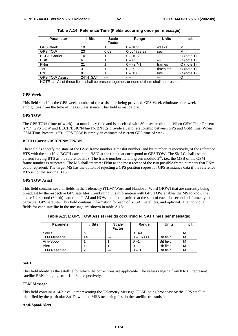| <b>Parameter</b>                                                                         | # Bits   | <b>Scale</b>  | Range              | <b>Units</b> | Incl.        |
|------------------------------------------------------------------------------------------|----------|---------------|--------------------|--------------|--------------|
|                                                                                          |          | <b>Factor</b> |                    |              |              |
| <b>GPS Week</b>                                                                          | 10       |               | $0 - 1023$         | weeks        | м            |
| <b>GPS TOW</b>                                                                           | 23       | 0.08          | 0-604799.92        | sec          | м            |
| <b>BCCH Carrier</b>                                                                      | 10       |               | $0 - 1023$         |              | $O$ (note 1) |
| <b>BSIC</b>                                                                              | 6        |               | $0 - 63$           |              | $O$ (note 1) |
| FN <sub>m</sub>                                                                          | 21       |               | $0 - (2^{21} - 1)$ | frames       | $O$ (note 1) |
| <b>TN</b>                                                                                | 3        |               | $0 - 7$            | timeslots    | $O$ (note 1) |
| <b>BN</b>                                                                                | 8        |               | $0 - 156$          | bits         | $O$ (note 1) |
| <b>GPS TOW Assist</b>                                                                    | 24*N_SAT | ---           | ----               | ---          | O            |
| NOTE 1: All of these fields shall be present together, or none of them shall be present. |          |               |                    |              |              |

**Table A.14: Reference Time (Fields occurring once per message)** 

#### **GPS Week**

This field specifies the GPS week number of the assistance being provided. GPS Week eliminates one-week ambiguities from the time of the GPS assistance. This field is mandatory.

#### **GPS TOW**

The GPS TOW (time-of-week) is a mandatory field and is specified with 80 msec resolution. When GSM Time Present is "1", GPS TOW and BCCH/BSIC/FNm/TN/BN IEs provide a valid relationship between GPS and GSM time. When GSM Time Present is "0", GPS TOW is simply an estimate of current GPS time of week.

#### **BCCH Carrier/BSIC/FNm/TN/BN**

These fields specify the state of the GSM frame number, timeslot number, and bit number, respectively, of the reference BTS with the specified BCCH carrier and BSIC at the time that correspond to GPS TOW. The SMLC shall use the current serving BTS as the reference BTS. The frame number field is given modulo  $2^{21}$ , i.e., the MSB of the GSM frame number is truncated. The MS shall interpret FNm as the most recent of the two possible frame numbers that FNm could represent. The target MS has the option of rejecting a GPS position request or GPS assistance data if the reference BTS is not the serving BTS.

#### **GPS TOW Assist**

This field contains several fields in the Telemetry (TLM) Word and Handover Word (HOW) that are currently being broadcast by the respective GPS satellites. Combining this information with GPS TOW enables the MS to know the entire 1.2-second (60-bit) pattern of TLM and HOW that is transmitted at the start of each six-second subframe by the particular GPS satellite. This field contains information for each of N\_SAT satellites, and optional. The individual fields for each satellite in the message are shown in table A.15a.

| <b>Parameter</b>    | # Bits | <b>Scale</b><br><b>Factor</b> | Range       | <b>Units</b>     | Incl. |
|---------------------|--------|-------------------------------|-------------|------------------|-------|
| SatID               |        | ---                           | $0 - 63$    | ---              | м     |
| <b>TLM Message</b>  | 14     | $---$                         | $0 - 16383$ | <b>Bit field</b> | м     |
| Anti-Spoof          |        |                               | $0 -$       | <b>Bit field</b> | M     |
| Alert               |        |                               |             | <b>Bit field</b> | M     |
| <b>TLM Reserved</b> | ◠      | ---                           | - 3         | <b>Bit field</b> | M     |

**Table A.15a: GPS TOW Assist (Fields occurring N\_SAT times per message)** 

#### **SatID**

This field identifies the satellite for which the corrections are applicable. The values ranging from 0 to 63 represent satellite PRNs ranging from 1 to 64, respectively.

#### **TLM Message**

This field contains a 14-bit value representing the Telemetry Message (TLM) being broadcast by the GPS satellite identified by the particular SatID, with the MSB occurring first in the satellite transmission.

#### **Anti-Spoof/Alert**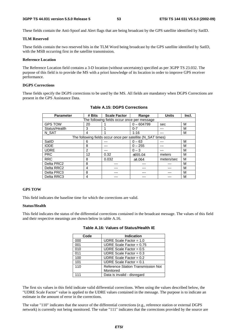These fields contain the Anti-Spoof and Alert flags that are being broadcast by the GPS satellite identified by SatID.

#### **TLM Reserved**

These fields contain the two reserved bits in the TLM Word being broadcast by the GPS satellite identified by SatID, with the MSB occurring first in the satellite transmission.

#### **Reference Location**

The Reference Location field contains a 3-D location (without uncertainty) specified as per 3GPP TS 23.032. The purpose of this field is to provide the MS with a priori knowledge of its location in order to improve GPS receiver performance.

#### **DGPS Corrections**

These fields specify the DGPS corrections to be used by the MS. All fields are mandatory when DGPS Corrections are present in the GPS Assistance Data.

| <b>Parameter</b>                            | # Bits        | <b>Scale Factor</b>                                         | Range        | <b>Units</b> | Incl. |  |  |
|---------------------------------------------|---------------|-------------------------------------------------------------|--------------|--------------|-------|--|--|
| The following fields occur once per message |               |                                                             |              |              |       |  |  |
| <b>GPS TOW</b>                              | 20            |                                                             | $0 - 604799$ | sec          | M     |  |  |
| Status/Health                               | 3             |                                                             | $0 - 7$      | ---          | М     |  |  |
| N SAT                                       | 4             |                                                             | $1 - 16$     |              | M     |  |  |
|                                             |               | The following fields occur once per satellite (N_SAT times) |              |              |       |  |  |
| SatID                                       | 6             |                                                             | $0 - 63$     | ---          | M     |  |  |
| <b>IODE</b>                                 | 8             |                                                             | $0 - 255$    |              | М     |  |  |
| <b>UDRE</b>                                 | $\mathcal{P}$ |                                                             | $0 - 3$      | ---          | М     |  |  |
| <b>PRC</b>                                  | 12            | 0.32                                                        | ±655.04      | meters       | M     |  |  |
| <b>RRC</b>                                  | 8             | 0.032                                                       | ±4.064       | meters/sec   | M     |  |  |
| Delta PRC2                                  | 8             |                                                             |              |              | М     |  |  |
| Delta RRC2                                  | 4             |                                                             |              |              | M     |  |  |
| Delta PRC3                                  | 8             |                                                             |              |              | M     |  |  |
| Delta RRC3                                  | 4             |                                                             |              |              | M     |  |  |

#### **Table A.15: DGPS Corrections**

#### **GPS TOW**

This field indicates the baseline time for which the corrections are valid.

#### **Status/Health**

This field indicates the status of the differential corrections contained in the broadcast message. The values of this field and their respective meanings are shown below in table A.16.

| Code | <b>Indication</b>                  |
|------|------------------------------------|
| 000  | UDRE Scale Factor = $1.0$          |
| 001  | UDRE Scale Factor = $0.75$         |
| 010  | UDRE Scale Factor = $0.5$          |
| 011  | UDRE Scale Factor = $0.3$          |
| 100  | UDRE Scale Factor = $0.2$          |
| 101  | UDRE Scale Factor = $0.1$          |
| 110  | Reference Station Transmission Not |
|      | Monitored                          |
|      | Data is invalid - disregard        |

#### **Table A.16: Values of Status/Health IE**

The first six values in this field indicate valid differential corrections. When using the values described below, the "UDRE Scale Factor" value is applied to the UDRE values contained in the message. The purpose is to indicate an estimate in the amount of error in the corrections.

The value "110" indicates that the source of the differential corrections (e.g., reference station or external DGPS network) is currently not being monitored. The value "111" indicates that the corrections provided by the source are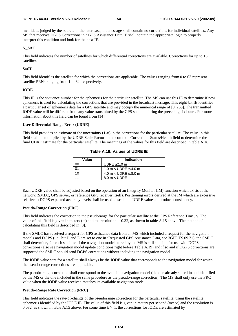invalid, as judged by the source. In the later case, the message shall contain no corrections for individual satellites. Any MS that receives DGPS Corrections in a GPS Assistance Data IE shall contain the appropriate logic to properly interpret this condition and look for the next IE.

#### **N\_SAT**

This field indicates the number of satellites for which differential corrections are available. Corrections for up to 16 satellites.

#### **SatID**

This field identifies the satellite for which the corrections are applicable. The values ranging from 0 to 63 represent satellite PRNs ranging from 1 to 64, respectively.

#### **IODE**

This IE is the sequence number for the ephemeris for the particular satellite. The MS can use this IE to determine if new ephemeris is used for calculating the corrections that are provided in the broadcast message. This eight-bit IE identifies a particular set of ephemeris data for a GPS satellite and may occupy the numerical range of [0, 255]. The transmitted IODE value will be different from any value transmitted by the GPS satellite during the preceding six hours. For more information about this field can be found from [14].

#### **User Differential Range Error (UDRE)**

This field provides an estimate of the uncertainty  $(1-\sigma)$  in the corrections for the particular satellite. The value in this field shall be multiplied by the UDRE Scale Factor in the common Corrections Status/Health field to determine the final UDRE estimate for the particular satellite. The meanings of the values for this field are described in table A.18.

| Value | Indication                    |
|-------|-------------------------------|
|       | UDRE $\leq 1.0$ m             |
|       | 1.0 m $<$ UDRE $\leq$ 4.0 m   |
| 10    | 4.0 m $<$ UDRE $\leq$ 8.0 m   |
|       | $8.0 \text{ m} < \text{UDRE}$ |

**Table A.18: Values of UDRE IE** 

Each UDRE value shall be adjusted based on the operation of an Integrity Monitor (IM) function which exists at the network (SMLC, GPS server, or reference GPS receiver itself). Positioning errors derived at the IM which are excessive relative to DGPS expected accuracy levels shall be used to scale the UDRE values to produce consistency.

#### **Pseudo-Range Correction (PRC)**

This field indicates the correction to the pseudorange for the particular satellite at the GPS Reference Time, *t*0. The value of this field is given in meters (m) and the resolution is 0.32, as shown in table A.15 above. The method of calculating this field is described in [3].

If the SMLC has received a request for GPS assistance data from an MS which included a request for the navigation models and DGPS (i.e., bit D and E are set to one in 'Requested GPS Assistance Data, see 3GPP TS 09.31), the SMLC shall determine, for each satellite, if the navigation model stored by the MS is still suitable for use with DGPS corrections (also see navigation model update conditions right before Table A.19) and if so and if DGPS corrections are supported the SMLC should send DGPS corrections without including the navigation model.

The IODE value sent for a satellite shall always be the IODE value that corresponds to the navigation model for which the pseudo-range corrections are applicable.

The pseudo-range correction shall correspond to the available navigation model (the one already stored in and identified by the MS or the one included in the same procedure as the pseudo-range correction). The MS shall only use the PRC value when the IODE value received matches its available navigation model.

#### **Pseudo-Range Rate Correction (RRC)**

This field indicates the rate-of-change of the pseudorange correction for the particular satellite, using the satellite ephemeris identified by the IODE IE. The value of this field is given in meters per second (m/sec) and the resolution is 0.032, as shown in table A.15 above. For some time  $t_1 > t_0$ , the corrections for IODE are estimated by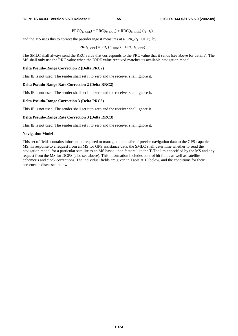$PRC(t_{1, \text{IODE}}) = PRC(t_{0, \text{IODE}}) + RRC(t_{0, \text{IODE}}) \cdot (t_1 - t_0)$ ,

and the MS uses this to correct the pseudorange it measures at  $t_1$ ,  $PR_m(t_1 \text{ IODE})$ , by

 $PR(t_{1,\text{IODE}}) = PR_{m}(t_{1,\text{IODE}}) + PRC(t_{1,\text{IODE}})$ .

The SMLC shall always send the RRC value that corresponds to the PRC value that it sends (see above for details). The MS shall only use the RRC value when the IODE value received matches its available navigation model.

#### **Delta Pseudo-Range Correction 2 (Delta PRC2)**

This IE is not used. The sender shall set it to zero and the receiver shall ignore it.

#### **Delta Pseudo-Range Rate Correction 2 (Delta RRC2)**

This IE is not used. The sender shall set it to zero and the receiver shall ignore it.

#### **Delta Pseudo-Range Correction 3 (Delta PRC3)**

This IE is not used. The sender shall set it to zero and the receiver shall ignore it.

#### **Delta Pseudo-Range Rate Correction 3 (Delta RRC3)**

This IE is not used. The sender shall set it to zero and the receiver shall ignore it.

#### **Navigation Model**

This set of fields contains information required to manage the transfer of precise navigation data to the GPS-capable MS. In response to a request from an MS for GPS assistance data, the SMLC shall determine whether to send the navigation model for a particular satellite to an MS based upon factors like the T-Toe limit specified by the MS and any request from the MS for DGPS (also see above). This information includes control bit fields as well as satellite ephemeris and clock corrections. The individual fields are given in Table A.19 below, and the conditions for their presence is discussed below.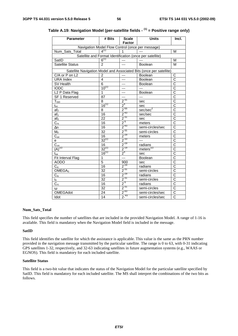| <b>Parameter</b>                                 | # Bits          | <b>Scale</b><br><b>Factor</b> | <b>Units</b>                                                        | Incl.                 |  |  |  |
|--------------------------------------------------|-----------------|-------------------------------|---------------------------------------------------------------------|-----------------------|--|--|--|
| Navigation Model Flow Control (once per message) |                 |                               |                                                                     |                       |  |  |  |
| Num_Sats_Total                                   | $4^{(1)}$       | 1                             |                                                                     | м                     |  |  |  |
|                                                  |                 |                               | Satellite and Format Identification (once per satellite)            |                       |  |  |  |
| SatID                                            | $6^{(1)}$       | ---                           |                                                                     | M                     |  |  |  |
| <b>Satellite Status</b>                          | $\mathfrak{p}$  | ---                           | Boolean                                                             | M                     |  |  |  |
|                                                  |                 |                               | Satellite Navigation Model and Associated Bits (once per satellite) |                       |  |  |  |
| C/A or P on L2                                   | 2               | $---$                         | Boolean                                                             | C                     |  |  |  |
| <b>URA Index</b>                                 | 4               | ---                           | Boolean                                                             | $\overline{\text{c}}$ |  |  |  |
| SV Health                                        | 6               | ---                           | <b>Boolean</b>                                                      | $\overline{\rm c}$    |  |  |  |
| <b>IODC</b>                                      | $10^{(1)}$      | ---                           | $---$                                                               | $\overline{\text{c}}$ |  |  |  |
| L <sub>2</sub> P Data Flag                       | 1               | ---                           | Boolean                                                             | $\overline{\text{c}}$ |  |  |  |
| SF 1 Reserved                                    | 87              | ---                           | ---                                                                 | $\overline{\rm c}$    |  |  |  |
| $T_{GD}$                                         | 8               | $2^{-31}$                     | sec                                                                 | $\overline{\text{c}}$ |  |  |  |
| $t_{oc}$                                         | $16^{(1)}$      | $\frac{2^4}{2^{55}}$          | sec                                                                 | $\overline{\text{c}}$ |  |  |  |
| af <sub>2</sub>                                  | $\overline{8}$  |                               | sec/sec <sup>2</sup>                                                | $\overline{\text{c}}$ |  |  |  |
| af <sub>1</sub>                                  | 16              | $2^{-43}$                     | sec/sec                                                             | $\overline{\text{c}}$ |  |  |  |
| af <sub>0</sub>                                  | $\overline{22}$ | $2^{-31}$                     | sec                                                                 | $\overline{\text{c}}$ |  |  |  |
| $\overline{C}_{rs}$                              | 16              | $2^{5}$                       | meters                                                              | $\overline{\text{c}}$ |  |  |  |
| $\Delta n$                                       | 16              | $2^{-43}$                     | semi-circles/sec                                                    | $\overline{\rm c}$    |  |  |  |
| $M_0$                                            | $\overline{32}$ | $2^{-31}$                     | semi-circles                                                        | $\overline{\text{c}}$ |  |  |  |
| $C_{\underline{\mathsf{uc}}}$                    | 16              | $2^{-29}$                     | meters                                                              | $\overline{\text{c}}$ |  |  |  |
| e                                                | $32^{(1)}$      | $2^{-33}$                     | ---                                                                 | $\overline{\text{c}}$ |  |  |  |
| $\overline{C}_{us}$                              | $\overline{16}$ | $2^{-29}$                     | radians                                                             | $\overline{\text{c}}$ |  |  |  |
| $(A)^{1/2}$                                      | $32^{(1)}$      | $2^{-19}$                     | meters $^{1/2}$                                                     | $\overline{\text{c}}$ |  |  |  |
| $t_{oe}$                                         | $16^{(1)}$      | 2 <sup>4</sup>                | sec                                                                 | $\overline{\rm c}$    |  |  |  |
| Fit Interval Flag                                | $\overline{1}$  | $\overline{a}$                | Boolean                                                             | $\overline{\text{c}}$ |  |  |  |
| <b>AODO</b>                                      | $\overline{5}$  | 900                           | sec                                                                 | $\overline{\text{c}}$ |  |  |  |
| $C_{ic}$                                         | 16              | $2^{-29}$                     | radians                                                             | $\overline{\text{c}}$ |  |  |  |
| OMEGA <sub>0</sub>                               | 32              | $2^{-31}$                     | semi-circles                                                        | $\overline{\text{c}}$ |  |  |  |
| $C_{is}$                                         | 16              | $2^{-29}$                     | radians                                                             | C                     |  |  |  |
| io.                                              | 32              | $2^{-31}$                     | semi-circles                                                        | $\overline{\text{c}}$ |  |  |  |
| $C_{rc}$                                         | 16              | $2^{5}$                       | radians                                                             | $\overline{C}$        |  |  |  |
| $\omega$                                         | 32              | $2^{31}$                      | semi-circles                                                        | $\overline{\text{c}}$ |  |  |  |
| <b>OMEGAdot</b>                                  | 24              | $2^{-43}$                     | semi-circles/sec                                                    | $\overline{C}$        |  |  |  |
| Idot                                             | 14              | $2^{-43}$                     | semi-circles/sec                                                    | $\overline{\text{c}}$ |  |  |  |

| Table A.19: Navigation Model (per-satellite fields - <sup>(1)</sup> = Positive range only) |  |
|--------------------------------------------------------------------------------------------|--|
|--------------------------------------------------------------------------------------------|--|

#### **Num\_Sats\_Total**

This field specifies the number of satellites that are included in the provided Navigation Model. A range of 1-16 is available. This field is mandatory when the Navigation Model field is included in the message.

#### **SatID**

This field identifies the satellite for which the assistance is applicable. This value is the same as the PRN number provided in the navigation message transmitted by the particular satellite. The range is 0 to 63, with 0-31 indicating GPS satellites 1-32, respectively, and 32-63 indicating satellites in future augmentation systems (e.g., WAAS or EGNOS). This field is mandatory for each included satellite.

#### **Satellite Status**

This field is a two-bit value that indicates the status of the Navigation Model for the particular satellite specified by SatID. This field is mandatory for each included satellite. The MS shall interpret the combinations of the two bits as follows.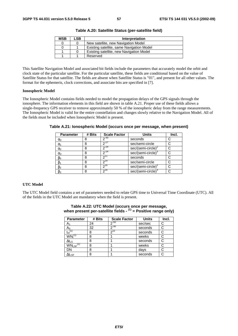| <b>MSB</b> | LSB | Interpretation                            |
|------------|-----|-------------------------------------------|
|            |     | New satellite, new Navigation Model       |
|            |     | Existing satellite, same Navigation Model |
|            |     | Existing satellite, new Navigation Model  |
|            |     | Reserved                                  |

**Table A.20: Satellite Status (per-satellite field)** 

This Satellite Navigation Model and associated bit fields include the parameters that accurately model the orbit and clock state of the particular satellite. For the particular satellite, these fields are conditional based on the value of Satellite Status for that satellite. The fields are absent when Satellite Status is "01", and present for all other values. The format for the ephemeris, clock corrections, and associate bits are specified in [7].

#### **Ionospheric Model**

The Ionospheric Model contains fields needed to model the propagation delays of the GPS signals through the ionosphere. The information elements in this field are shown in table A.21. Proper use of these fields allows a single-frequency GPS receiver to remove approximately 50 % of the ionospheric delay from the range measurements. The Ionospheric Model is valid for the entire constellation and changes slowly relative to the Navigation Model. All of the fields must be included when Ionospheric Model is present.

| <b>Parameter</b> | # Bits | <b>Scale Factor</b> | <b>Units</b>                   | Incl. |
|------------------|--------|---------------------|--------------------------------|-------|
| $\alpha_0$       |        | $2^{-30}$           | seconds                        |       |
| $\alpha_1$       |        | $2^{27}$            | sec/semi-circle                |       |
| $\alpha_2$       |        | $2^{24}$            | sec/(semi-circle) <sup>4</sup> |       |
| $\alpha_3$       |        | $2^{-24}$           | sec/(semi-circle) <sup>®</sup> |       |
| $\beta_0$        |        |                     | seconds                        |       |
| $\beta_1$        | 8      | $2^{14}$            | sec/semi-circle                |       |
| $\beta_2$        | 8      | $7^{16}$            | $sec/(semi-circle)^2$          |       |
| $\beta_3$        |        | $2^{16}$            | $sec/(semi-circle)3$           |       |

**Table A.21: Ionospheric Model (occurs once per message, when present)** 

#### **UTC Model**

The UTC Model field contains a set of parameters needed to relate GPS time to Universal Time Coordinate (UTC). All of the fields in the UTC Model are mandatory when the field is present.

| <b>Parameter</b>          | # Bits | <b>Scale Factor</b> | <b>Units</b> | Incl. |
|---------------------------|--------|---------------------|--------------|-------|
| A1                        | 24     | $2^{-50}$           | sec/sec      | C     |
| $A_0$                     | 32     | $2^{-30}$           | seconds      |       |
| $t_{ot}$ <sup>(1</sup>    | 8      | $2^{12}$            | seconds      | C     |
| $WN_t^{(1)}$              | 8      |                     | weeks        |       |
| $\Delta t_{LS}$           | 8      |                     | seconds      |       |
| $WN_{LSF}$ <sup>(1)</sup> | 8      |                     | weeks        |       |
| DN                        | 8      |                     | days         |       |
| $\Delta t_{\text{LSF}}$   | ጸ      |                     | seconds      |       |

#### **Table A.22: UTC Model (occurs once per message, when present per-satellite fields - (1) = Positive range only)**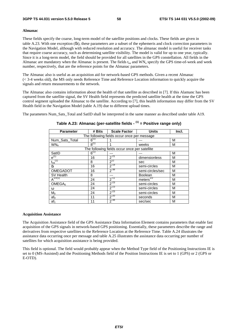#### **Almanac**

These fields specify the coarse, long-term model of the satellite positions and clocks. These fields are given in table A.23. With one exception (δi), these parameters are a subset of the ephemeris and clock correction parameters in the Navigation Model, although with reduced resolution and accuracy. The almanac model is useful for receiver tasks that require coarse accuracy, such as determining satellite visibility. The model is valid for up to one year, typically. Since it is a long-term model, the field should be provided for all satellites in the GPS constellation. All fields in the Almanac are mandatory when the Almanac is present. The fields  $t_{oa}$  and  $WN_a$  specify the GPS time-of-week and week number, respectively, that are the reference points for the Almanac parameters.

The Almanac also is useful as an acquisition aid for network-based GPS methods. Given a recent Almanac (< 3-4 weeks old), the MS only needs Reference Time and Reference Location information to quickly acquire the signals and return measurements to the network.

The Almanac also contains information about the health of that satellite as described in [7]. If this Alamanc has been captured from the satellite signal, the SV Health field represents the predicted satellite health at the time the GPS control segment uploaded the Almanac to the satellite. According to [7], this health information may differ from the SV Health field in the Navigation Model (table A.19) due to different upload times.

The parameters Num Sats Total and SatID shall be interpreted in the same manner as described under table A19.

| <b>Parameter</b>                 | # Bits                                      | <b>Scale Factor</b>                           | <b>Units</b>     | Incl. |  |  |  |  |
|----------------------------------|---------------------------------------------|-----------------------------------------------|------------------|-------|--|--|--|--|
|                                  | The following fields occur once per message |                                               |                  |       |  |  |  |  |
| Num_Sats_Total                   | $6^{(1)}$                                   |                                               |                  | M     |  |  |  |  |
| WN <sub>a</sub>                  | $8^{(1)}$                                   |                                               | weeks            | M     |  |  |  |  |
|                                  |                                             | The following fields occur once per satellite |                  |       |  |  |  |  |
| SatID                            | $6^{(1)}$                                   |                                               |                  | М     |  |  |  |  |
| $e^{(1)}$                        | 16                                          | $2^{-21}$                                     | dimensionless    | M     |  |  |  |  |
| $\mathfrak{t}_{\text{oa}}^{(1)}$ | 8                                           | $2^{12}$                                      | sec              | M     |  |  |  |  |
| δi                               | 16                                          | $2^{-19}$                                     | semi-circles     | M     |  |  |  |  |
| <b>OMEGADOT</b>                  | 16                                          | $2^{-38}$                                     | semi-circles/sec | M     |  |  |  |  |
| SV Health                        | 8                                           | ---                                           | <b>Boolean</b>   | M     |  |  |  |  |
| $A^{1/2(1)}$                     | 24                                          | $2^{-11}$                                     | meters $^{1/2}$  | M     |  |  |  |  |
| OMEGA <sub>0</sub>               | 24                                          | $2^{-23}$                                     | semi-circles     | M     |  |  |  |  |
| ω                                | 24                                          | $2^{-23}$                                     | semi-circles     | M     |  |  |  |  |
| $M_0$                            | 24                                          | $2^{-23}$                                     | semi-circles     | M     |  |  |  |  |
| af <sub>0</sub>                  | 11                                          | $2^{-20}$                                     | seconds          | M     |  |  |  |  |
| af <sub>1</sub>                  | 11                                          | $2^{-38}$                                     | sec/sec          | M     |  |  |  |  |

**Table A.23: Almanac (per-satellite fields - (1) = Positive range only)** 

#### **Acquisition Assistance**

The Acquisition Assistance field of the GPS Assistance Data Information Element contains parameters that enable fast acquisition of the GPS signals in network-based GPS positioning. Essentially, these parameters describe the range and derivatives from respective satellites to the Reference Location at the Reference Time. Table A.24 illustrates the assistance data occurring once per message and table A.25 illustrates the assistance data occurring per number of satellites for which acquisition assistance is being provided.

This field is optional. The field would probably appear when the Method Type field of the Positioning Instructions IE is set to 0 (MS-Assisted) and the Positioning Methods field of the Position Instructions IE is set to 1 (GPS) or 2 (GPS or E-OTD).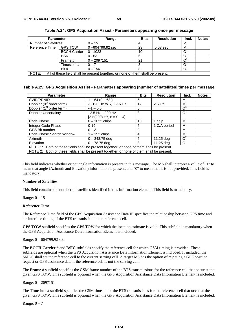| <b>Parameter</b>            |                     | Range                                                                           | <b>Bits</b> | <b>Resolution</b>   | Incl. | <b>Notes</b> |
|-----------------------------|---------------------|---------------------------------------------------------------------------------|-------------|---------------------|-------|--------------|
| <b>Number of Satellites</b> |                     | $0 - 15$                                                                        |             |                     | M     |              |
| Reference Time              | <b>GPS TOW</b>      | $0 - 604799.92$ sec                                                             | 23          | 0.08 <sub>sec</sub> | M     |              |
|                             | <b>BCCH Carrier</b> | $0 - 1023$                                                                      | 10          |                     |       |              |
|                             | <b>BSIC</b>         | $0 - 63$                                                                        | 6           |                     |       |              |
|                             | Frame #             | $0 - 2097151$                                                                   | 21          |                     |       |              |
|                             | Timeslots #         | $0 - 7$                                                                         |             |                     |       |              |
|                             | Bit #               | $0 - 156$                                                                       | 8           |                     |       |              |
| NOTE:                       |                     | All of these field shall be present together, or none of them shall be present. |             |                     |       |              |

**Table A.24: GPS Acquisition Assist - Parameters appearing once per message** 

#### **Table A.25: GPS Acquisition Assist - Parameters appearing [number of satellites] times per message**

| <b>Parameter</b>                                                                          | Range                      | <b>Bits</b> | <b>Resolution</b> | Incl.      | <b>Notes</b> |
|-------------------------------------------------------------------------------------------|----------------------------|-------------|-------------------|------------|--------------|
| SVID/PRNID                                                                                | $1 - 64(0 - 63)$           | 6           |                   | м          |              |
| Doppler $(0^{\text{th}} \text{ order term})$                                              | -5,120 Hz to 5,117.5 Hz    | 12          | $2.5$ Hz          | м          |              |
| Doppler (1 <sup>st</sup> order term)                                                      | $-1 - 0.5$                 | 6           |                   | $\Omega$   |              |
| <b>Doppler Uncertainty</b>                                                                | $12.5$ Hz $-$ 200 Hz       | 3           |                   | O          |              |
|                                                                                           | $[2-n(200) Hz, n = 0 - 4]$ |             |                   |            |              |
| Code Phase                                                                                | $0 - 1022$ chips           | 10          | 1 chip            | М          |              |
| Integer Code Phase                                                                        | $0 - 19$                   | 5           | 1 C/A period      | М          |              |
| <b>GPS Bit number</b>                                                                     | $0 - 3$                    | 2           |                   | м          |              |
| Code Phase Search Window                                                                  | $1 - 192$ chips            | 4           |                   | м          |              |
| <b>Azimuth</b>                                                                            | $0 - 348.75$ deg           | 5           | 11.25 dea         | $O^2$      |              |
| Elevation                                                                                 | $0 - 78.75$ dea            | 3           | 11.25 dea         | $\Omega^2$ |              |
| NOTE 1: Both of these fields shall be present together, or none of them shall be present. |                            |             |                   |            |              |
| NOTE 2: Both of these fields shall be present together, or none of them shall be present. |                            |             |                   |            |              |

This field indicates whether or not angle information is present in this message. The MS shall interpret a value of "1" to

mean that angle (Azimuth and Elevation) information is present, and "0" to mean that it is not provided. This field is mandatory.

#### **Number of Satellites**

This field contains the number of satellites identified in this information element. This field is mandatory.

Range: 0 – 15

#### **Reference Time**

The Reference Time field of the GPS Acquisition Assistance Data IE specifies the relationship between GPS time and air-interface timing of the BTS transmission in the reference cell.

**GPS TOW** subfield specifies the GPS TOW for which the location estimate is valid. This subfield is mandatory when the GPS Acquisition Assistance Data Information Element is included.

Range: 0 – 604799.92 sec

The **BCCH Carrier** # and **BSIC** subfields specify the reference cell for which GSM timing is provided. These subfields are optional when the GPS Acquisition Assistance Data Information Element is included. If included, the SMLC shall set the reference cell to the current serving cell. A target MS has the option of rejecting a GPS position request or GPS assistance data if the reference cell is not the serving cell.

The **Frame #** subfield specifies the GSM frame number of the BTS transmissions for the reference cell that occur at the given GPS TOW. This subfield is optional when the GPS Acquisition Assistance Data Information Element is included.

Range: 0 – 2097151

The **Timeslots #** subfield specifies the GSM timeslot of the BTS transmissions for the reference cell that occur at the given GPS TOW. This subfield is optional when the GPS Acquisition Assistance Data Information Element is included.

Range:  $0 - 7$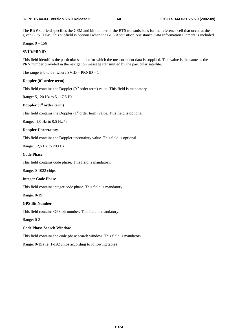The **Bit #** subfield specifies the GSM and bit number of the BTS transmissions for the reference cell that occur at the given GPS TOW. This subfield is optional when the GPS Acquisition Assistance Data Information Element is included.

Range: 0 – 156

#### **SVID/PRNID**

This field identifies the particular satellite for which the measurement data is supplied. This value is the same as the PRN number provided in the navigation message transmitted by the particular satellite.

The range is 0 to 63, where  $SVID = PRNID - 1$ 

#### **Doppler (0th order term)**

This field contains the Doppler  $(0<sup>th</sup>$  order term) value. This field is mandatory.

Range: 5,120 Hz to 5,117.5 Hz

#### **Doppler (1st order term**)

This field contains the Doppler  $(1<sup>st</sup> order term)$  value. This field is optional.

Range: -1,0 Hz to 0,5 Hz / s

#### **Doppler Uncertainty**

This field contains the Doppler uncertainty value. This field is optional.

Range: 12,5 Hz to 200 Hz

#### **Code Phase**

This field contains code phase. This field is mandatory.

Range. 0-1022 chips

#### **Integer Code Phase**

This field contains integer code phase. This field is mandatory.

Range: 0-19

#### **GPS Bit Number**

This field contains GPS bit number. This field is mandatory.

Range: 0-3

#### **Code Phase Search Window**

This field contains the code phase search window. This field is mandatory.

Range: 0-15 (i.e. 1-192 chips according to following table)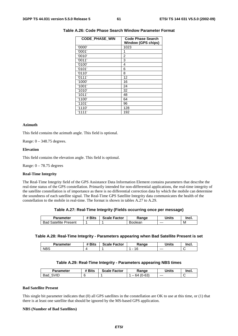| <b>CODE PHASE WIN</b> | Code Phase Search<br>Window (GPS chips) |
|-----------------------|-----------------------------------------|
| '0000'                | 1023                                    |
| '0001'                | 1                                       |
| '0010'                | 2                                       |
| '0011'                | 3                                       |
| '0100'                | 4                                       |
| '0101'                | 6                                       |
| '0110'                | 8                                       |
| '0111'                | 12                                      |
| '1000'                | 16                                      |
| '1001'                | 24                                      |
| '1010'                | 32                                      |
| '1011'                | 48                                      |
| '1100'                | 64                                      |
| '1101'                | 96                                      |
| '1110'                | 128                                     |
| '1111'                | 192                                     |

#### **Table A.26: Code Phase Search Window Parameter Format**

#### **Azimuth**

This field contains the azimuth angle. This field is optional.

Range: 0 – 348.75 degrees.

#### **Elevation**

This field contains the elevation angle. This field is optional.

Range:  $0 - 78.75$  degrees

#### **Real-Time Integrity**

The Real-Time Integrity field of the GPS Assistance Data Information Element contains parameters that describe the real-time status of the GPS constellation. Primarily intended for non-differential applications, the real-time integrity of the satellite constellation is of importance as there is no differential correction data by which the mobile can determine the soundness of each satellite signal. The Real-Time GPS Satellite Integrity data communicates the health of the constellation to the mobile in real-time. The format is shown in tables A.27 to A.29.

#### **Table A.27: Real-Time Integrity (Fields occurring once per message)**

| <b>Parameter</b>            | # Bits | <b>Scale Factor</b> | Range   | <b>Units</b> | <b>Incl</b> |
|-----------------------------|--------|---------------------|---------|--------------|-------------|
| Satellite<br>Bad<br>Present |        |                     | Boolean | $--$         | M           |

#### **Table A.28: Real-Time Integrity - Parameters appearing when Bad Satellite Present is set**

| Parameter  | <b>Bits</b><br>$\mathbf{u}$<br>π | <b>Scale Factor</b> | Range | <b>Units</b> | Incl. |
|------------|----------------------------------|---------------------|-------|--------------|-------|
| <b>NBS</b> |                                  |                     | 16    | $- - -$      |       |

#### **Table A.29: Real-Time Integrity - Parameters appearing NBS times**

| Parameter          | <b># Bits</b> | . Factor<br>Scale I | Range          | Units   | Incl. |
|--------------------|---------------|---------------------|----------------|---------|-------|
| SVID<br><b>Bad</b> |               |                     | $(0-63)$<br>64 | $- - -$ | ∼     |

#### **Bad Satellite Present**

This single bit parameter indicates that (0) all GPS satellites in the constellation are OK to use at this time, or (1) that there is at least one satellite that should be ignored by the MS-based GPS application.

#### **NBS (Number of Bad Satellites)**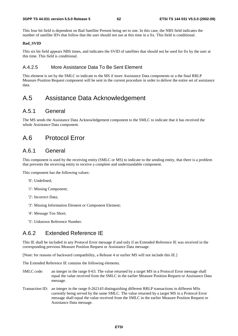This four bit field is dependent on Bad Satellite Present being set to one. In this case, the NBS field indicates the number of satellite ID's that follow that the user should not use at this time in a fix. This field is conditional.

#### **Bad\_SVID**

This six bit field appears NBS times, and indicates the SVID of satellites that should not be used for fix by the user at this time. This field is conditional.

#### A.4.2.5 More Assistance Data To Be Sent Element

This element is set by the SMLC to indicate to the MS if more Assistance Data components or a the final RRLP Measure Position Request component will be sent in the current procedure in order to deliver the entire set of assistance data.

## A.5 Assistance Data Acknowledgement

### A.5.1 General

The MS sends the Assistance Data Acknowledgement component to the SMLC to indicate that it has received the whole Assistance Data component.

## A.6 Protocol Error

### A.6.1 General

This component is used by the receiving entity (SMLC or MS) to indicate to the sending entity, that there is a problem that prevents the receiving entity to receive a complete and understandable component.

This component has the following values:

- '0': Undefined;
- '1': Missing Component;
- '2': Incorrect Data;
- '3': Missing Information Element or Component Element;
- '4': Message Too Short;
- '5': Unknown Reference Number.

## A.6.2 Extended Reference IE

This IE shall be included in any Protocol Error message if and only if an Extended Reference IE was received in the corresponding previous Measure Position Request or Assistance Data message.

[Note: for reasons of backward compatibility, a Release 4 or earlier MS will not include this IE.]

The Extended Reference IE contains the following elements.

- SMLC code: an integer in the range 0-63. The value returned by a target MS in a Protocol Error message shall equal the value received from the SMLC in the earlier Measure Position Request or Assistance Data message.
- Transaction ID: an integer in the range 0-262143 distinguishing different RRLP transactions in different MSs currently being served by the same SMLC. The value returned by a target MS in a Protocol Error message shall equal the value received from the SMLC in the earlier Measure Position Request or Assistance Data message.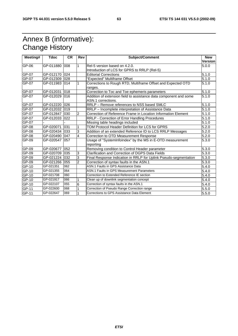## Annex B (informative): Change History

| Meeting# | <b>Tdoc</b>   | <b>CR</b> | Rev                     | <b>Subject/Comment</b>                                            | <b>New</b>         |
|----------|---------------|-----------|-------------------------|-------------------------------------------------------------------|--------------------|
|          |               |           |                         |                                                                   | Version            |
| GP-06    | GP-011880 008 |           | 1                       | Rel-5 version based on 4.2.0.                                     | 5.0.0              |
|          |               |           |                         | Introduction of LCS for GPRS to RRLP (Rel-5)                      |                    |
| GP-07    | GP-012170 024 |           |                         | <b>Editorial Corrections</b>                                      | 5.1.0              |
| GP-07    | GP-012309 028 |           |                         | "Expected" Multiframe Offset                                      | 5.1.0              |
| GP-07    | GP-011983 014 |           |                         | Corrections to Rough RTD, Multiframe Offset and Expected OTD      | 5.1.0              |
|          |               |           |                         | ranges.                                                           |                    |
| GP-07    | GP-012031     | 018       |                         | Correction to Toc and Toe ephemeris parameters                    | 5.1.0              |
| GP-07    | GP-012029     | 016       |                         | Addition of extension field to assistance data component and some | 5.1.0              |
|          |               |           |                         | ASN.1 corrections.                                                |                    |
| GP-07    | GP-012220 026 |           |                         | RRLP - Remove references to NSS based SMLC                        | 5.1.0              |
| GP-07    | GP-012032 019 |           |                         | RRLP - Incomplete interpretation of Assistance Data               | 5.1.0              |
| $GP-07$  | GP-012847 030 |           | $\overline{2}$          | Correction of Reference Frame in Location Information Element     | 5.1.0              |
| GP-07    | GP-012033 022 |           |                         | RRLP - Correction of Error Handling Procedures                    | 5.1.0              |
| $GP-07$  |               |           |                         | Missing table headings included                                   | $\overline{5}.1.0$ |
| GP-08    | GP-020071     | 031       | 1                       | TOM Protocol Header Definition for LCS for GPRS                   | 5.2.0              |
| GP-08    | GP-020434     | 033       | 3                       | Addition of an extended Reference ID to LCS RRLP Messages         | 5.2.0              |
| GP-08    | GP-020490 047 |           | $\overline{\mathbf{4}}$ | Correction to OTD Measurement Response                            | 5.2.0              |
| GP-09    | GP-020547 057 |           |                         | Usage of "SystemInfoIndex" by the MS in E-OTD measurement         | 5.3.0              |
|          |               |           |                         | reporting                                                         |                    |
| GP-09    | GP-020677 052 |           |                         | Removing condition to Control Header parameter                    | 5.3.0              |
| GP-09    | GP-020709     | 035       | 3                       | Clarification and Correction of DGPS Data Fields                  | 5.3.0              |
| GP-09    | GP-021224 032 |           | 3                       | Final Response Indication in RRLP for Uplink Pseudo-segmentation  | 5.3.0              |
| GP-09    | GP-021266 055 |           | $\overline{2}$          | Correction of syntax faults in the ASN.1                          | 5.3.0              |
| GP-10    | GP-021351     | 062       |                         | ASN.1 Faults in GPS Assistance Data                               | 5.4.0              |
| GP-10    | GP-021355     | 064       |                         | ASN.1 Faults in GPS Measurement Parameters                        | 5.4.0              |
| $GP-10$  | GP-021708     | 060       |                         | Correction to Extended Reference IE section                       | 5.4.0              |
| GP-10    | GP-021917     | 066       | 1                       | Clean up of downlink segmentation concept                         | 5.4.0              |
| $GP-10$  | GP-022107     | 055       | 6                       | Correction of syntax faults in the ASN.1                          | 5.4.0              |
| GP-11    | GP-022600     | 068       |                         | Correction of Pseudo Range Correction range                       | 5.5.0              |
| GP-11    | GP-022647     | 069       | 1                       | Corrections to GPS Assistance Data Element                        | 5.5.0              |